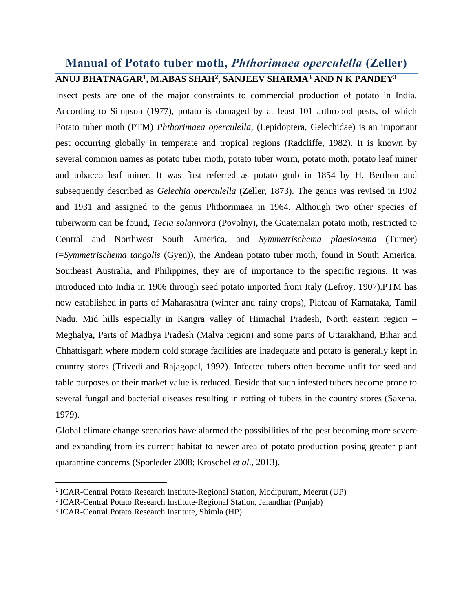# **Manual of Potato tuber moth,** *Phthorimaea operculella* **(Zeller) ANUJ BHATNAGAR<sup>1</sup> , M.ABAS SHAH<sup>2</sup> , SANJEEV SHARMA<sup>3</sup> AND N K PANDEY<sup>3</sup>**

Insect pests are one of the major constraints to commercial production of potato in India. According to Simpson (1977), potato is damaged by at least 101 arthropod pests, of which Potato tuber moth (PTM) *Phthorimaea operculella*, (Lepidoptera, Gelechidae) is an important pest occurring globally in temperate and tropical regions (Radcliffe, 1982). It is known by several common names as potato tuber moth, potato tuber worm, potato moth, potato leaf miner and tobacco leaf miner. It was first referred as potato grub in 1854 by H. Berthen and subsequently described as *Gelechia operculella* (Zeller, 1873). The genus was revised in 1902 and 1931 and assigned to the genus Phthorimaea in 1964. Although two other species of tuberworm can be found, *Tecia solanivora* (Povolny), the Guatemalan potato moth, restricted to Central and Northwest South America, and *Symmetrischema plaesiosema* (Turner) (=*Symmetrischema tangolis* (Gyen)), the Andean potato tuber moth, found in South America, Southeast Australia, and Philippines, they are of importance to the specific regions. It was introduced into India in 1906 through seed potato imported from Italy (Lefroy, 1907).PTM has now established in parts of Maharashtra (winter and rainy crops), Plateau of Karnataka, Tamil Nadu, Mid hills especially in Kangra valley of Himachal Pradesh, North eastern region – Meghalya, Parts of Madhya Pradesh (Malva region) and some parts of Uttarakhand, Bihar and Chhattisgarh where modern cold storage facilities are inadequate and potato is generally kept in country stores (Trivedi and Rajagopal, 1992). Infected tubers often become unfit for seed and table purposes or their market value is reduced. Beside that such infested tubers become prone to several fungal and bacterial diseases resulting in rotting of tubers in the country stores (Saxena, 1979).

Global climate change scenarios have alarmed the possibilities of the pest becoming more severe and expanding from its current habitat to newer area of potato production posing greater plant quarantine concerns (Sporleder 2008; Kroschel *et al.*, 2013).

 $\overline{a}$ 

**<sup>1</sup>** ICAR-Central Potato Research Institute-Regional Station, Modipuram, Meerut (UP)

<sup>2</sup> ICAR-Central Potato Research Institute-Regional Station, Jalandhar (Punjab)

<sup>3</sup> ICAR-Central Potato Research Institute, Shimla (HP)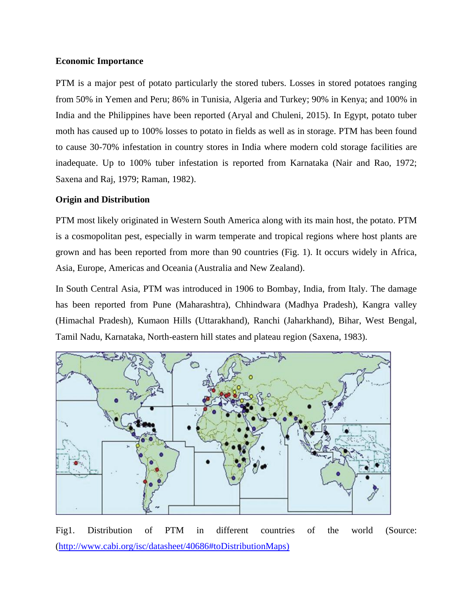#### **Economic Importance**

PTM is a major pest of potato particularly the stored tubers. Losses in stored potatoes ranging from 50% in Yemen and Peru; 86% in Tunisia, Algeria and Turkey; 90% in Kenya; and 100% in India and the Philippines have been reported (Aryal and Chuleni, 2015). In Egypt, potato tuber moth has caused up to 100% losses to potato in fields as well as in storage. PTM has been found to cause 30-70% infestation in country stores in India where modern cold storage facilities are inadequate. Up to 100% tuber infestation is reported from Karnataka (Nair and Rao, 1972; Saxena and Raj, 1979; Raman, 1982).

### **Origin and Distribution**

PTM most likely originated in Western South America along with its main host, the potato. PTM is a cosmopolitan pest, especially in warm temperate and tropical regions where host plants are grown and has been reported from more than 90 countries (Fig. 1). It occurs widely in Africa, Asia, Europe, Americas and Oceania (Australia and New Zealand).

In South Central Asia, PTM was introduced in 1906 to Bombay, India, from Italy. The damage has been reported from Pune (Maharashtra), Chhindwara (Madhya Pradesh), Kangra valley (Himachal Pradesh), Kumaon Hills (Uttarakhand), Ranchi (Jaharkhand), Bihar, West Bengal, Tamil Nadu, Karnataka, North-eastern hill states and plateau region (Saxena, 1983).



```
(http://www.cabi.org/isc/datasheet/40686#toDistributionMaps)
```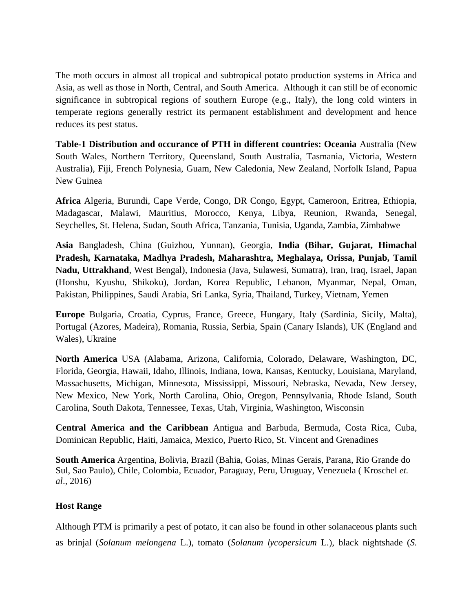The moth occurs in almost all tropical and subtropical potato production systems in Africa and Asia, as well as those in North, Central, and South America. Although it can still be of economic significance in subtropical regions of southern Europe (e.g., Italy), the long cold winters in temperate regions generally restrict its permanent establishment and development and hence reduces its pest status.

**Table-1 Distribution and occurance of PTH in different countries: Oceania** Australia (New South Wales, Northern Territory, Queensland, South Australia, Tasmania, Victoria, Western Australia), Fiji, French Polynesia, Guam, New Caledonia, New Zealand, Norfolk Island, Papua New Guinea

**Africa** Algeria, Burundi, Cape Verde, Congo, DR Congo, Egypt, Cameroon, Eritrea, Ethiopia, Madagascar, Malawi, Mauritius, Morocco, Kenya, Libya, Reunion, Rwanda, Senegal, Seychelles, St. Helena, Sudan, South Africa, Tanzania, Tunisia, Uganda, Zambia, Zimbabwe

**Asia** Bangladesh, China (Guizhou, Yunnan), Georgia, **India (Bihar, Gujarat, Himachal Pradesh, Karnataka, Madhya Pradesh, Maharashtra, Meghalaya, Orissa, Punjab, Tamil Nadu, Uttrakhand**, West Bengal), Indonesia (Java, Sulawesi, Sumatra), Iran, Iraq, Israel, Japan (Honshu, Kyushu, Shikoku), Jordan, Korea Republic, Lebanon, Myanmar, Nepal, Oman, Pakistan, Philippines, Saudi Arabia, Sri Lanka, Syria, Thailand, Turkey, Vietnam, Yemen

**Europe** Bulgaria, Croatia, Cyprus, France, Greece, Hungary, Italy (Sardinia, Sicily, Malta), Portugal (Azores, Madeira), Romania, Russia, Serbia, Spain (Canary Islands), UK (England and Wales), Ukraine

**North America** USA (Alabama, Arizona, California, Colorado, Delaware, Washington, DC, Florida, Georgia, Hawaii, Idaho, Illinois, Indiana, Iowa, Kansas, Kentucky, Louisiana, Maryland, Massachusetts, Michigan, Minnesota, Mississippi, Missouri, Nebraska, Nevada, New Jersey, New Mexico, New York, North Carolina, Ohio, Oregon, Pennsylvania, Rhode Island, South Carolina, South Dakota, Tennessee, Texas, Utah, Virginia, Washington, Wisconsin

**Central America and the Caribbean** Antigua and Barbuda, Bermuda, Costa Rica, Cuba, Dominican Republic, Haiti, Jamaica, Mexico, Puerto Rico, St. Vincent and Grenadines

**South America** Argentina, Bolivia, Brazil (Bahia, Goias, Minas Gerais, Parana, Rio Grande do Sul, Sao Paulo), Chile, Colombia, Ecuador, Paraguay, Peru, Uruguay, Venezuela ( Kroschel *et. al*., 2016)

# **Host Range**

Although PTM is primarily a pest of potato, it can also be found in other solanaceous plants such as brinjal (*Solanum melongena* L.), tomato (*Solanum lycopersicum* L.), black nightshade (*S.*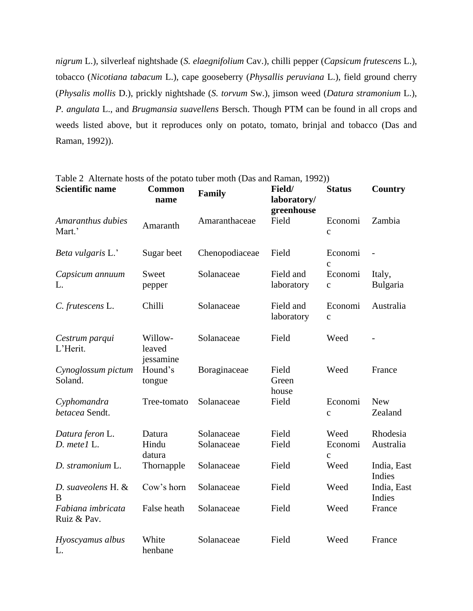*nigrum* L.), silverleaf nightshade (*S. elaegnifolium* Cav.), chilli pepper (*Capsicum frutescens* L.), tobacco (*Nicotiana tabacum* L.), cape gooseberry (*Physallis peruviana* L.), field ground cherry (*Physalis mollis* D.), prickly nightshade (*S. torvum* Sw.), jimson weed (*Datura stramonium* L.), *P. angulata* L., and *Brugmansia suavellens* Bersch. Though PTM can be found in all crops and weeds listed above, but it reproduces only on potato, tomato, brinjal and tobacco (Das and Raman, 1992)).

| <b>Scientific name</b>           | <b>Common</b><br>name          | Family                   | Field/<br>laboratory/<br>greenhouse | <b>Status</b>                     | <b>Country</b>        |
|----------------------------------|--------------------------------|--------------------------|-------------------------------------|-----------------------------------|-----------------------|
| Amaranthus dubies<br>Mart.'      | Amaranth                       | Amaranthaceae            | Field                               | Economi<br>$\mathbf{C}$           | Zambia                |
| Beta vulgaris L.'                | Sugar beet                     | Chenopodiaceae           | Field                               | Economi<br>$\mathbf{C}$           |                       |
| Capsicum annuum<br>L.            | Sweet<br>pepper                | Solanaceae               | Field and<br>laboratory             | Economi<br>$\mathbf c$            | Italy,<br>Bulgaria    |
| C. frutescens L.                 | Chilli                         | Solanaceae               | Field and<br>laboratory             | Economi<br>$\mathbf c$            | Australia             |
| Cestrum parqui<br>L'Herit.       | Willow-<br>leaved<br>jessamine | Solanaceae               | Field                               | Weed                              |                       |
| Cynoglossum pictum<br>Soland.    | Hound's<br>tongue              | Boraginaceae             | Field<br>Green<br>house             | Weed                              | France                |
| Cyphomandra<br>betacea Sendt.    | Tree-tomato                    | Solanaceae               | Field                               | Economi<br>$\mathbf{C}$           | <b>New</b><br>Zealand |
| Datura feron L.<br>D. metel L.   | Datura<br>Hindu<br>datura      | Solanaceae<br>Solanaceae | Field<br>Field                      | Weed<br>Economi<br>$\overline{c}$ | Rhodesia<br>Australia |
| D. stramonium L.                 | Thornapple                     | Solanaceae               | Field                               | Weed                              | India, East<br>Indies |
| D. suaveolens H. &<br>B          | Cow's horn                     | Solanaceae               | Field                               | Weed                              | India, East<br>Indies |
| Fabiana imbricata<br>Ruiz & Pav. | False heath                    | Solanaceae               | Field                               | Weed                              | France                |
| Hyoscyamus albus<br>L.           | White<br>henbane               | Solanaceae               | Field                               | Weed                              | France                |

Table 2 Alternate hosts of the potato tuber moth (Das and Raman, 1992))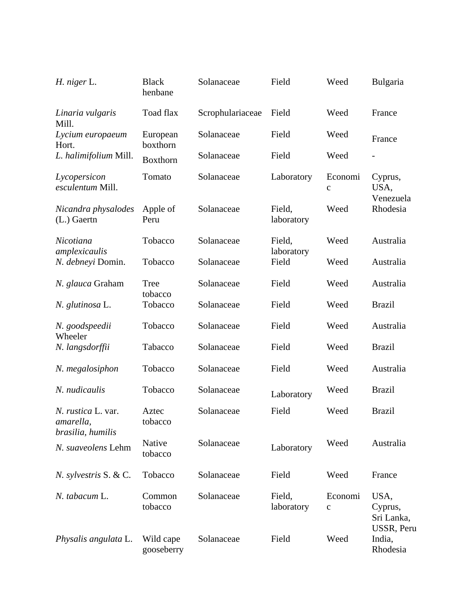| H. niger L.                                          | <b>Black</b><br>henbane | Solanaceae       | Field                | Weed                    | Bulgaria                                    |
|------------------------------------------------------|-------------------------|------------------|----------------------|-------------------------|---------------------------------------------|
| Linaria vulgaris<br>Mill.                            | Toad flax               | Scrophulariaceae | Field                | Weed                    | France                                      |
| Lycium europaeum<br>Hort.                            | European<br>boxthorn    | Solanaceae       | Field                | Weed                    | France                                      |
| L. halimifolium Mill.                                | <b>Boxthorn</b>         | Solanaceae       | Field                | Weed                    |                                             |
| Lycopersicon<br>esculentum Mill.                     | Tomato                  | Solanaceae       | Laboratory           | Economi<br>$\mathbf{C}$ | Cyprus,<br>USA,<br>Venezuela                |
| Nicandra physalodes<br>$(L.)$ Gaertn                 | Apple of<br>Peru        | Solanaceae       | Field,<br>laboratory | Weed                    | Rhodesia                                    |
| Nicotiana<br>amplexicaulis                           | Tobacco                 | Solanaceae       | Field,<br>laboratory | Weed                    | Australia                                   |
| N. debneyi Domin.                                    | Tobacco                 | Solanaceae       | Field                | Weed                    | Australia                                   |
| N. glauca Graham                                     | Tree<br>tobacco         | Solanaceae       | Field                | Weed                    | Australia                                   |
| N. glutinosa L.                                      | Tobacco                 | Solanaceae       | Field                | Weed                    | <b>Brazil</b>                               |
| N. goodspeedii<br>Wheeler                            | Tobacco                 | Solanaceae       | Field                | Weed                    | Australia                                   |
| N. langsdorffii                                      | Tabacco                 | Solanaceae       | Field                | Weed                    | <b>Brazil</b>                               |
| N. megalosiphon                                      | Tobacco                 | Solanaceae       | Field                | Weed                    | Australia                                   |
| N. nudicaulis                                        | Tobacco                 | Solanaceae       | Laboratory           | Weed                    | <b>Brazil</b>                               |
| N. rustica L. var.<br>amarella,<br>brasilia, humilis | Aztec<br>tobacco        | Solanaceae       | Field                | Weed                    | <b>Brazil</b>                               |
| N. suaveolens Lehm                                   | Native<br>tobacco       | Solanaceae       | Laboratory           | Weed                    | Australia                                   |
| N. sylvestris S. & C.                                | Tobacco                 | Solanaceae       | Field                | Weed                    | France                                      |
| N. tabacum L.                                        | Common<br>tobacco       | Solanaceae       | Field,<br>laboratory | Economi<br>$\mathbf{C}$ | USA,<br>Cyprus,<br>Sri Lanka,<br>USSR, Peru |
| Physalis angulata L.                                 | Wild cape<br>gooseberry | Solanaceae       | Field                | Weed                    | India,<br>Rhodesia                          |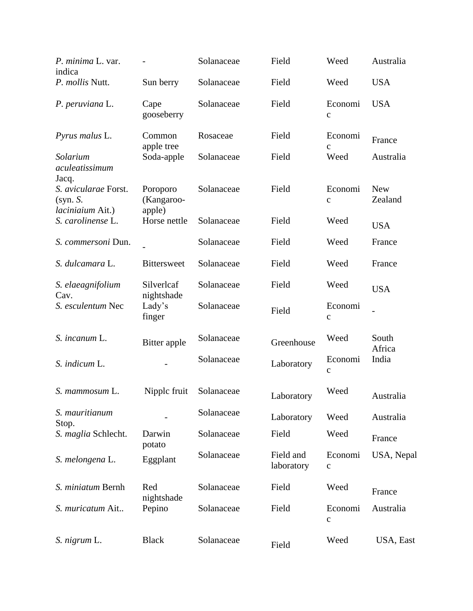| P. minima L. var.<br>indica                          |                                  | Solanaceae | Field                   | Weed                    | Australia             |
|------------------------------------------------------|----------------------------------|------------|-------------------------|-------------------------|-----------------------|
| P. mollis Nutt.                                      | Sun berry                        | Solanaceae | Field                   | Weed                    | <b>USA</b>            |
| P. peruviana L.                                      | Cape<br>gooseberry               | Solanaceae | Field                   | Economi<br>$\mathbf c$  | <b>USA</b>            |
| Pyrus malus L.                                       | Common<br>apple tree             | Rosaceae   | Field                   | Economi<br>$\mathbf{C}$ | France                |
| Solarium<br>aculeatissimum<br>Jacq.                  | Soda-apple                       | Solanaceae | Field                   | Weed                    | Australia             |
| S. avicularae Forst.<br>(syn. S.<br>laciniaium Ait.) | Poroporo<br>(Kangaroo-<br>apple) | Solanaceae | Field                   | Economi<br>$\mathbf{C}$ | <b>New</b><br>Zealand |
| S. carolinense L.                                    | Horse nettle                     | Solanaceae | Field                   | Weed                    | <b>USA</b>            |
| S. commersoni Dun.                                   |                                  | Solanaceae | Field                   | Weed                    | France                |
| S. dulcamara L.                                      | <b>Bittersweet</b>               | Solanaceae | Field                   | Weed                    | France                |
| S. elaeagnifolium<br>Cav.                            | Silverlcaf<br>nightshade         | Solanaceae | Field                   | Weed                    | <b>USA</b>            |
| S. esculentum Nec                                    | Lady's<br>finger                 | Solanaceae | Field                   | Economi<br>$\mathbf c$  |                       |
| S. incanum L.                                        | Bitter apple                     | Solanaceae | Greenhouse              | Weed                    | South<br>Africa       |
| S. indicum L.                                        |                                  | Solanaceae | Laboratory              | Economi<br>$\mathbf c$  | India                 |
| S. mammosum L.                                       | Nipple fruit                     | Solanaceae | Laboratory              | Weed                    | Australia             |
| S. mauritianum<br>Stop.                              |                                  | Solanaceae | Laboratory              | Weed                    | Australia             |
| S. maglia Schlecht.                                  | Darwin<br>potato                 | Solanaceae | Field                   | Weed                    | France                |
| S. melongena L.                                      | Eggplant                         | Solanaceae | Field and<br>laboratory | Economi<br>$\mathbf C$  | USA, Nepal            |
| S. <i>miniatum</i> Bernh                             | Red<br>nightshade                | Solanaceae | Field                   | Weed                    | France                |
| S. muricatum Ait                                     | Pepino                           | Solanaceae | Field                   | Economi<br>$\mathbf c$  | Australia             |
| S. nigrum L.                                         | <b>Black</b>                     | Solanaceae | Field                   | Weed                    | USA, East             |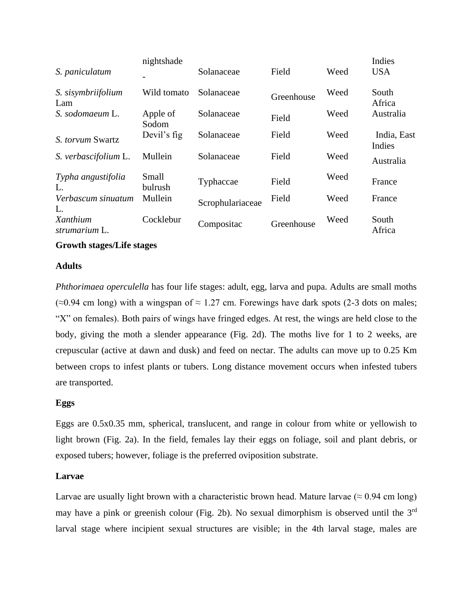| S. paniculatum            | nightshade        | Solanaceae       | Field      | Weed | Indies<br><b>USA</b>  |
|---------------------------|-------------------|------------------|------------|------|-----------------------|
| S. sisymbriifolium<br>Lam | Wild tomato       | Solanaceae       | Greenhouse | Weed | South<br>Africa       |
| S. sodomaeum L.           | Apple of<br>Sodom | Solanaceae       | Field      | Weed | Australia             |
| <i>S. torvum Swartz</i>   | Devil's fig.      | Solanaceae       | Field      | Weed | India, East<br>Indies |
| S. verbascifolium L.      | Mullein           | Solanaceae       | Field      | Weed | Australia             |
| Typha angustifolia<br>L.  | Small<br>bulrush  | Typhaccae        | Field      | Weed | France                |
| Verbascum sinuatum<br>L.  | Mullein           | Scrophulariaceae | Field      | Weed | France                |
| Xanthium<br>strumarium L. | Cocklebur         | Compositac       | Greenhouse | Weed | South<br>Africa       |

#### **Growth stages/Life stages**

#### **Adults**

*Phthorimaea operculella* has four life stages: adult, egg, larva and pupa. Adults are small moths (≈0.94 cm long) with a wingspan of  $\approx$  1.27 cm. Forewings have dark spots (2-3 dots on males; "X" on females). Both pairs of wings have fringed edges. At rest, the wings are held close to the body, giving the moth a slender appearance (Fig. 2d). The moths live for 1 to 2 weeks, are crepuscular (active at dawn and dusk) and feed on nectar. The adults can move up to 0.25 Km between crops to infest plants or tubers. Long distance movement occurs when infested tubers are transported.

#### **Eggs**

Eggs are 0.5x0.35 mm, spherical, translucent, and range in colour from white or yellowish to light brown (Fig. 2a). In the field, females lay their eggs on foliage, soil and plant debris, or exposed tubers; however, foliage is the preferred oviposition substrate.

#### **Larvae**

Larvae are usually light brown with a characteristic brown head. Mature larvae ( $\approx 0.94$  cm long) may have a pink or greenish colour (Fig. 2b). No sexual dimorphism is observed until the 3rd larval stage where incipient sexual structures are visible; in the 4th larval stage, males are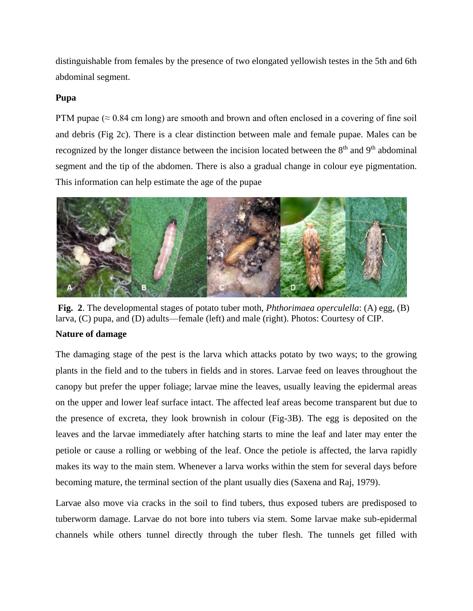distinguishable from females by the presence of two elongated yellowish testes in the 5th and 6th abdominal segment.

### **Pupa**

PTM pupae ( $\approx 0.84$  cm long) are smooth and brown and often enclosed in a covering of fine soil and debris (Fig 2c). There is a clear distinction between male and female pupae. Males can be recognized by the longer distance between the incision located between the  $8<sup>th</sup>$  and  $9<sup>th</sup>$  abdominal segment and the tip of the abdomen. There is also a gradual change in colour eye pigmentation. This information can help estimate the age of the pupae



**Fig. 2**. The developmental stages of potato tuber moth, *Phthorimaea operculella*: (A) egg, (B) larva, (C) pupa, and (D) adults—female (left) and male (right). Photos: Courtesy of CIP.

### **Nature of damage**

The damaging stage of the pest is the larva which attacks potato by two ways; to the growing plants in the field and to the tubers in fields and in stores. Larvae feed on leaves throughout the canopy but prefer the upper foliage; larvae mine the leaves, usually leaving the epidermal areas on the upper and lower leaf surface intact. The affected leaf areas become transparent but due to the presence of excreta, they look brownish in colour (Fig-3B). The egg is deposited on the leaves and the larvae immediately after hatching starts to mine the leaf and later may enter the petiole or cause a rolling or webbing of the leaf. Once the petiole is affected, the larva rapidly makes its way to the main stem. Whenever a larva works within the stem for several days before becoming mature, the terminal section of the plant usually dies (Saxena and Raj, 1979).

Larvae also move via cracks in the soil to find tubers, thus exposed tubers are predisposed to tuberworm damage. Larvae do not bore into tubers via stem. Some larvae make sub-epidermal channels while others tunnel directly through the tuber flesh. The tunnels get filled with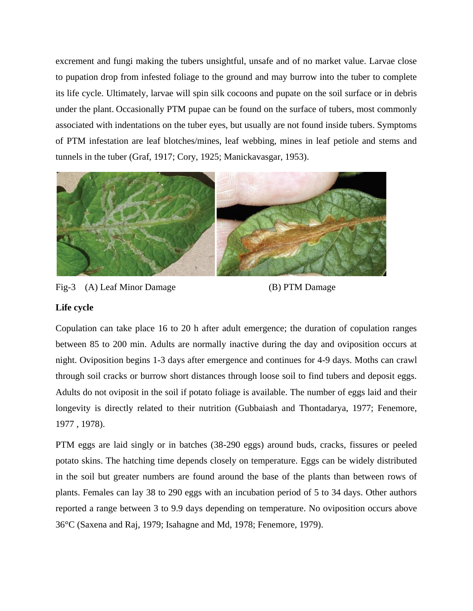excrement and fungi making the tubers unsightful, unsafe and of no market value. Larvae close to pupation drop from infested foliage to the ground and may burrow into the tuber to complete its life cycle. Ultimately, larvae will spin silk cocoons and pupate on the soil surface or in debris under the plant. Occasionally PTM pupae can be found on the surface of tubers, most commonly associated with indentations on the tuber eyes, but usually are not found inside tubers. Symptoms of PTM infestation are leaf blotches/mines, leaf webbing, mines in leaf petiole and stems and tunnels in the tuber (Graf, 1917; Cory, 1925; Manickavasgar, 1953).







### **Life cycle**

Copulation can take place 16 to 20 h after adult emergence; the duration of copulation ranges between 85 to 200 min. Adults are normally inactive during the day and oviposition occurs at night. Oviposition begins 1-3 days after emergence and continues for 4-9 days. Moths can crawl through soil cracks or burrow short distances through loose soil to find tubers and deposit eggs. Adults do not oviposit in the soil if potato foliage is available. The number of eggs laid and their longevity is directly related to their nutrition (Gubbaiash and Thontadarya, 1977; Fenemore, 1977 , 1978).

PTM eggs are laid singly or in batches (38-290 eggs) around buds, cracks, fissures or peeled potato skins. The hatching time depends closely on temperature. Eggs can be widely distributed in the soil but greater numbers are found around the base of the plants than between rows of plants. Females can lay 38 to 290 eggs with an incubation period of 5 to 34 days. Other authors reported a range between 3 to 9.9 days depending on temperature. No oviposition occurs above 36°C (Saxena and Raj, 1979; Isahagne and Md, 1978; Fenemore, 1979).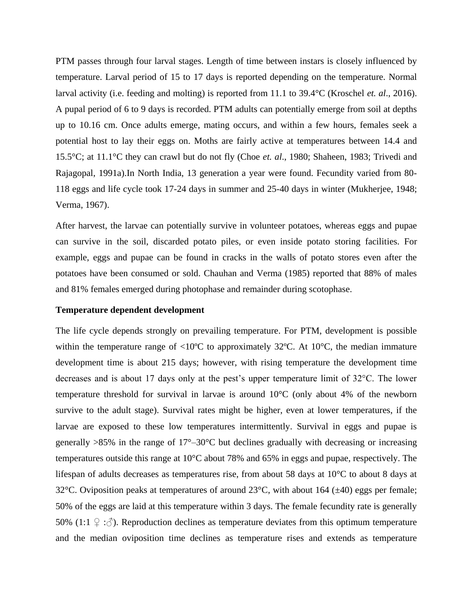PTM passes through four larval stages. Length of time between instars is closely influenced by temperature. Larval period of 15 to 17 days is reported depending on the temperature. Normal larval activity (i.e. feeding and molting) is reported from 11.1 to 39.4°C (Kroschel *et. al*., 2016). A pupal period of 6 to 9 days is recorded. PTM adults can potentially emerge from soil at depths up to 10.16 cm. Once adults emerge, mating occurs, and within a few hours, females seek a potential host to lay their eggs on. Moths are fairly active at temperatures between 14.4 and 15.5°C; at 11.1°C they can crawl but do not fly (Choe *et. al*., 1980; Shaheen, 1983; Trivedi and Rajagopal, 1991a).In North India, 13 generation a year were found. Fecundity varied from 80- 118 eggs and life cycle took 17-24 days in summer and 25-40 days in winter (Mukherjee, 1948; Verma, 1967).

After harvest, the larvae can potentially survive in volunteer potatoes, whereas eggs and pupae can survive in the soil, discarded potato piles, or even inside potato storing facilities. For example, eggs and pupae can be found in cracks in the walls of potato stores even after the potatoes have been consumed or sold. Chauhan and Verma (1985) reported that 88% of males and 81% females emerged during photophase and remainder during scotophase.

#### **Temperature dependent development**

The life cycle depends strongly on prevailing temperature. For PTM, development is possible within the temperature range of  $\langle 10^{\circ}$ C to approximately 32 $^{\circ}$ C. At 10 $^{\circ}$ C, the median immature development time is about 215 days; however, with rising temperature the development time decreases and is about 17 days only at the pest's upper temperature limit of 32°C. The lower temperature threshold for survival in larvae is around 10°C (only about 4% of the newborn survive to the adult stage). Survival rates might be higher, even at lower temperatures, if the larvae are exposed to these low temperatures intermittently. Survival in eggs and pupae is generally  $>85\%$  in the range of 17°–30°C but declines gradually with decreasing or increasing temperatures outside this range at 10°C about 78% and 65% in eggs and pupae, respectively. The lifespan of adults decreases as temperatures rise, from about 58 days at 10°C to about 8 days at 32°C. Oviposition peaks at temperatures of around 23°C, with about 164 ( $\pm$ 40) eggs per female; 50% of the eggs are laid at this temperature within 3 days. The female fecundity rate is generally 50% (1:1  $\circ$  :  $\circ$ ). Reproduction declines as temperature deviates from this optimum temperature and the median oviposition time declines as temperature rises and extends as temperature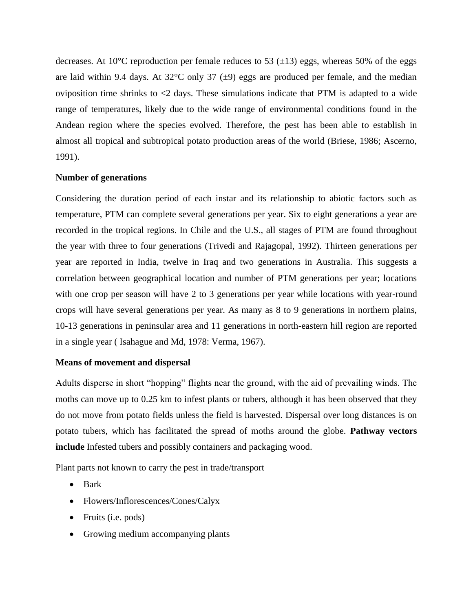decreases. At 10 $^{\circ}$ C reproduction per female reduces to 53 ( $\pm$ 13) eggs, whereas 50% of the eggs are laid within 9.4 days. At  $32^{\circ}$ C only 37 ( $\pm$ 9) eggs are produced per female, and the median oviposition time shrinks to  $\leq$  2 days. These simulations indicate that PTM is adapted to a wide range of temperatures, likely due to the wide range of environmental conditions found in the Andean region where the species evolved. Therefore, the pest has been able to establish in almost all tropical and subtropical potato production areas of the world (Briese, 1986; Ascerno, 1991).

#### **Number of generations**

Considering the duration period of each instar and its relationship to abiotic factors such as temperature, PTM can complete several generations per year. Six to eight generations a year are recorded in the tropical regions. In Chile and the U.S., all stages of PTM are found throughout the year with three to four generations (Trivedi and Rajagopal, 1992). Thirteen generations per year are reported in India, twelve in Iraq and two generations in Australia. This suggests a correlation between geographical location and number of PTM generations per year; locations with one crop per season will have 2 to 3 generations per year while locations with year-round crops will have several generations per year. As many as 8 to 9 generations in northern plains, 10-13 generations in peninsular area and 11 generations in north-eastern hill region are reported in a single year ( Isahague and Md, 1978: Verma, 1967).

#### **Means of movement and dispersal**

Adults disperse in short "hopping" flights near the ground, with the aid of prevailing winds. The moths can move up to 0.25 km to infest plants or tubers, although it has been observed that they do not move from potato fields unless the field is harvested. Dispersal over long distances is on potato tubers, which has facilitated the spread of moths around the globe. **Pathway vectors include** Infested tubers and possibly containers and packaging wood.

Plant parts not known to carry the pest in trade/transport

- Bark
- Flowers/Inflorescences/Cones/Calyx
- Fruits (i.e. pods)
- Growing medium accompanying plants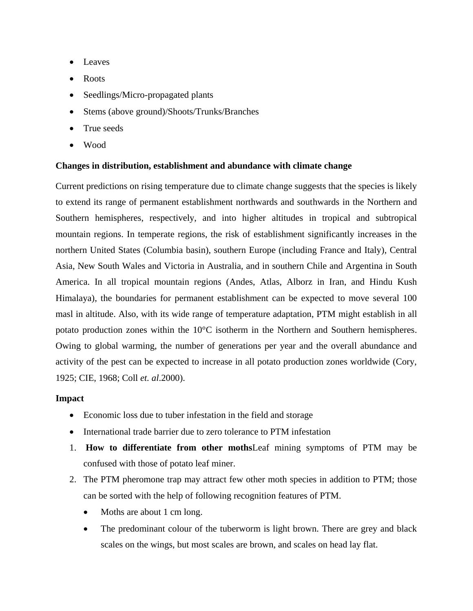- Leaves
- Roots
- Seedlings/Micro-propagated plants
- Stems (above ground)/Shoots/Trunks/Branches
- True seeds
- Wood

# **Changes in distribution, establishment and abundance with climate change**

Current predictions on rising temperature due to climate change suggests that the species is likely to extend its range of permanent establishment northwards and southwards in the Northern and Southern hemispheres, respectively, and into higher altitudes in tropical and subtropical mountain regions. In temperate regions, the risk of establishment significantly increases in the northern United States (Columbia basin), southern Europe (including France and Italy), Central Asia, New South Wales and Victoria in Australia, and in southern Chile and Argentina in South America. In all tropical mountain regions (Andes, Atlas, Alborz in Iran, and Hindu Kush Himalaya), the boundaries for permanent establishment can be expected to move several 100 masl in altitude. Also, with its wide range of temperature adaptation, PTM might establish in all potato production zones within the 10°C isotherm in the Northern and Southern hemispheres. Owing to global warming, the number of generations per year and the overall abundance and activity of the pest can be expected to increase in all potato production zones worldwide (Cory, 1925; CIE, 1968; Coll *et. al*.2000).

# **Impact**

- Economic loss due to tuber infestation in the field and storage
- International trade barrier due to zero tolerance to PTM infestation
- 1. **How to differentiate from other moths**Leaf mining symptoms of PTM may be confused with those of potato leaf miner.
- 2. The PTM pheromone trap may attract few other moth species in addition to PTM; those can be sorted with the help of following recognition features of PTM.
	- Moths are about 1 cm long.
	- The predominant colour of the tuberworm is light brown. There are grey and black scales on the wings, but most scales are brown, and scales on head lay flat.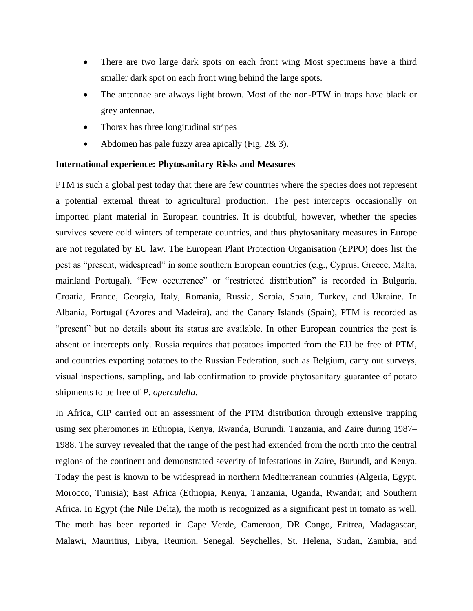- There are two large dark spots on each front wing Most specimens have a third smaller dark spot on each front wing behind the large spots.
- The antennae are always light brown. Most of the non-PTW in traps have black or grey antennae.
- Thorax has three longitudinal stripes
- Abdomen has pale fuzzy area apically (Fig. 2& 3).

#### **International experience: Phytosanitary Risks and Measures**

PTM is such a global pest today that there are few countries where the species does not represent a potential external threat to agricultural production. The pest intercepts occasionally on imported plant material in European countries. It is doubtful, however, whether the species survives severe cold winters of temperate countries, and thus phytosanitary measures in Europe are not regulated by EU law. The European Plant Protection Organisation (EPPO) does list the pest as "present, widespread" in some southern European countries (e.g., Cyprus, Greece, Malta, mainland Portugal). "Few occurrence" or "restricted distribution" is recorded in Bulgaria, Croatia, France, Georgia, Italy, Romania, Russia, Serbia, Spain, Turkey, and Ukraine. In Albania, Portugal (Azores and Madeira), and the Canary Islands (Spain), PTM is recorded as "present" but no details about its status are available. In other European countries the pest is absent or intercepts only. Russia requires that potatoes imported from the EU be free of PTM, and countries exporting potatoes to the Russian Federation, such as Belgium, carry out surveys, visual inspections, sampling, and lab confirmation to provide phytosanitary guarantee of potato shipments to be free of *P. operculella.* 

In Africa, CIP carried out an assessment of the PTM distribution through extensive trapping using sex pheromones in Ethiopia, Kenya, Rwanda, Burundi, Tanzania, and Zaire during 1987– 1988. The survey revealed that the range of the pest had extended from the north into the central regions of the continent and demonstrated severity of infestations in Zaire, Burundi, and Kenya. Today the pest is known to be widespread in northern Mediterranean countries (Algeria, Egypt, Morocco, Tunisia); East Africa (Ethiopia, Kenya, Tanzania, Uganda, Rwanda); and Southern Africa. In Egypt (the Nile Delta), the moth is recognized as a significant pest in tomato as well. The moth has been reported in Cape Verde, Cameroon, DR Congo, Eritrea, Madagascar, Malawi, Mauritius, Libya, Reunion, Senegal, Seychelles, St. Helena, Sudan, Zambia, and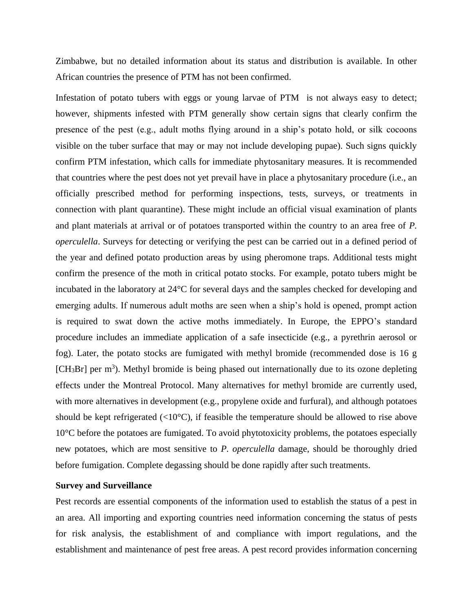Zimbabwe, but no detailed information about its status and distribution is available. In other African countries the presence of PTM has not been confirmed.

Infestation of potato tubers with eggs or young larvae of PTMis not always easy to detect; however, shipments infested with PTM generally show certain signs that clearly confirm the presence of the pest (e.g., adult moths flying around in a ship's potato hold, or silk cocoons visible on the tuber surface that may or may not include developing pupae). Such signs quickly confirm PTM infestation, which calls for immediate phytosanitary measures. It is recommended that countries where the pest does not yet prevail have in place a phytosanitary procedure (i.e., an officially prescribed method for performing inspections, tests, surveys, or treatments in connection with plant quarantine). These might include an official visual examination of plants and plant materials at arrival or of potatoes transported within the country to an area free of *P. operculella*. Surveys for detecting or verifying the pest can be carried out in a defined period of the year and defined potato production areas by using pheromone traps. Additional tests might confirm the presence of the moth in critical potato stocks. For example, potato tubers might be incubated in the laboratory at 24°C for several days and the samples checked for developing and emerging adults. If numerous adult moths are seen when a ship's hold is opened, prompt action is required to swat down the active moths immediately. In Europe, the EPPO's standard procedure includes an immediate application of a safe insecticide (e.g., a pyrethrin aerosol or fog). Later, the potato stocks are fumigated with methyl bromide (recommended dose is 16 g [CH<sub>3</sub>Br] per  $m<sup>3</sup>$ ). Methyl bromide is being phased out internationally due to its ozone depleting effects under the Montreal Protocol. Many alternatives for methyl bromide are currently used, with more alternatives in development (e.g., propylene oxide and furfural), and although potatoes should be kept refrigerated  $\langle$  = 10 $\degree$ C), if feasible the temperature should be allowed to rise above 10°C before the potatoes are fumigated. To avoid phytotoxicity problems, the potatoes especially new potatoes, which are most sensitive to *P. operculella* damage, should be thoroughly dried before fumigation. Complete degassing should be done rapidly after such treatments.

#### **Survey and Surveillance**

Pest records are essential components of the information used to establish the status of a pest in an area. All importing and exporting countries need information concerning the status of pests for risk analysis, the establishment of and compliance with import regulations, and the establishment and maintenance of pest free areas. A pest record provides information concerning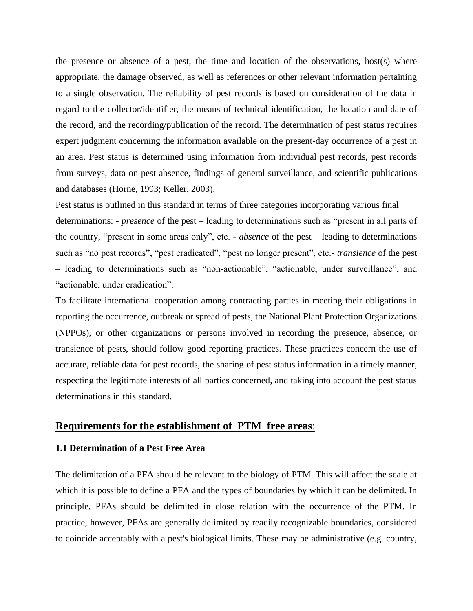the presence or absence of a pest, the time and location of the observations, host(s) where appropriate, the damage observed, as well as references or other relevant information pertaining to a single observation. The reliability of pest records is based on consideration of the data in regard to the collector/identifier, the means of technical identification, the location and date of the record, and the recording/publication of the record. The determination of pest status requires expert judgment concerning the information available on the present-day occurrence of a pest in an area. Pest status is determined using information from individual pest records, pest records from surveys, data on pest absence, findings of general surveillance, and scientific publications and databases (Horne, 1993; Keller, 2003).

Pest status is outlined in this standard in terms of three categories incorporating various final determinations: - *presence* of the pest – leading to determinations such as "present in all parts of the country, "present in some areas only", etc. - *absence* of the pest – leading to determinations such as "no pest records", "pest eradicated", "pest no longer present", etc.- *transience* of the pest – leading to determinations such as "non-actionable", "actionable, under surveillance", and "actionable, under eradication".

To facilitate international cooperation among contracting parties in meeting their obligations in reporting the occurrence, outbreak or spread of pests, the National Plant Protection Organizations (NPPOs), or other organizations or persons involved in recording the presence, absence, or transience of pests, should follow good reporting practices. These practices concern the use of accurate, reliable data for pest records, the sharing of pest status information in a timely manner, respecting the legitimate interests of all parties concerned, and taking into account the pest status determinations in this standard.

#### **Requirements for the establishment of PTM free areas**:

#### **1.1 Determination of a Pest Free Area**

The delimitation of a PFA should be relevant to the biology of PTM. This will affect the scale at which it is possible to define a PFA and the types of boundaries by which it can be delimited. In principle, PFAs should be delimited in close relation with the occurrence of the PTM. In practice, however, PFAs are generally delimited by readily recognizable boundaries, considered to coincide acceptably with a pest's biological limits. These may be administrative (e.g. country,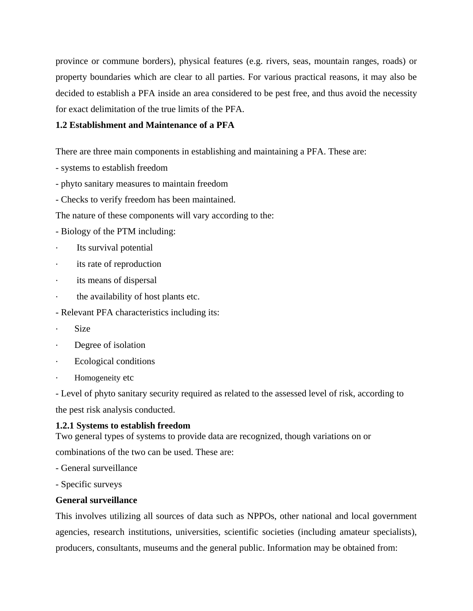province or commune borders), physical features (e.g. rivers, seas, mountain ranges, roads) or property boundaries which are clear to all parties. For various practical reasons, it may also be decided to establish a PFA inside an area considered to be pest free, and thus avoid the necessity for exact delimitation of the true limits of the PFA.

# **1.2 Establishment and Maintenance of a PFA**

There are three main components in establishing and maintaining a PFA. These are:

- systems to establish freedom
- phyto sanitary measures to maintain freedom
- Checks to verify freedom has been maintained.

The nature of these components will vary according to the:

- Biology of the PTM including:
- Its survival potential
- its rate of reproduction
- ⋅ its means of dispersal
- the availability of host plants etc.
- Relevant PFA characteristics including its:
- $Size$
- Degree of isolation
- Ecological conditions
- Homogeneity etc

- Level of phyto sanitary security required as related to the assessed level of risk, according to the pest risk analysis conducted.

# **1.2.1 Systems to establish freedom**

Two general types of systems to provide data are recognized, though variations on or

combinations of the two can be used. These are:

- General surveillance
- Specific surveys

### **General surveillance**

This involves utilizing all sources of data such as NPPOs, other national and local government agencies, research institutions, universities, scientific societies (including amateur specialists), producers, consultants, museums and the general public. Information may be obtained from: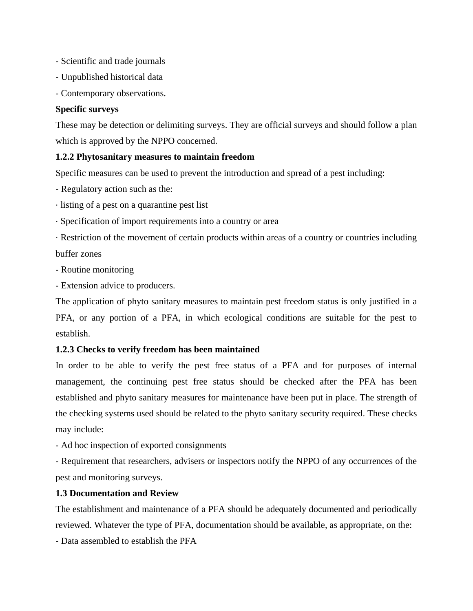- Scientific and trade journals
- Unpublished historical data
- Contemporary observations.

### **Specific surveys**

These may be detection or delimiting surveys. They are official surveys and should follow a plan which is approved by the NPPO concerned.

### **1.2.2 Phytosanitary measures to maintain freedom**

Specific measures can be used to prevent the introduction and spread of a pest including:

- Regulatory action such as the:
- ⋅ listing of a pest on a quarantine pest list
- ⋅ Specification of import requirements into a country or area

⋅ Restriction of the movement of certain products within areas of a country or countries including buffer zones

- Routine monitoring
- Extension advice to producers.

The application of phyto sanitary measures to maintain pest freedom status is only justified in a PFA, or any portion of a PFA, in which ecological conditions are suitable for the pest to establish.

### **1.2.3 Checks to verify freedom has been maintained**

In order to be able to verify the pest free status of a PFA and for purposes of internal management, the continuing pest free status should be checked after the PFA has been established and phyto sanitary measures for maintenance have been put in place. The strength of the checking systems used should be related to the phyto sanitary security required. These checks may include:

- Ad hoc inspection of exported consignments

- Requirement that researchers, advisers or inspectors notify the NPPO of any occurrences of the pest and monitoring surveys.

# **1.3 Documentation and Review**

The establishment and maintenance of a PFA should be adequately documented and periodically reviewed. Whatever the type of PFA, documentation should be available, as appropriate, on the:

- Data assembled to establish the PFA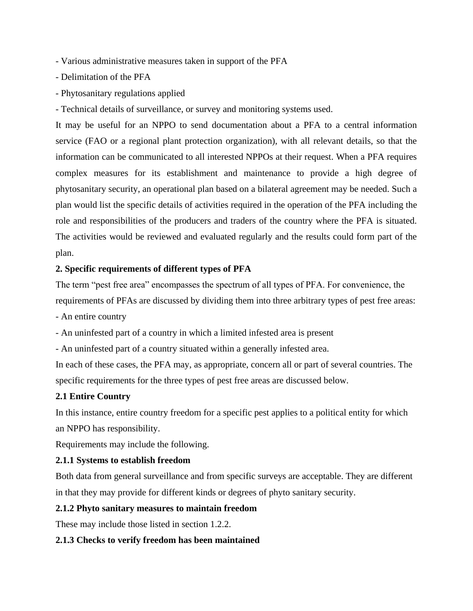- Various administrative measures taken in support of the PFA

- Delimitation of the PFA
- Phytosanitary regulations applied
- Technical details of surveillance, or survey and monitoring systems used.

It may be useful for an NPPO to send documentation about a PFA to a central information service (FAO or a regional plant protection organization), with all relevant details, so that the information can be communicated to all interested NPPOs at their request. When a PFA requires complex measures for its establishment and maintenance to provide a high degree of phytosanitary security, an operational plan based on a bilateral agreement may be needed. Such a plan would list the specific details of activities required in the operation of the PFA including the role and responsibilities of the producers and traders of the country where the PFA is situated. The activities would be reviewed and evaluated regularly and the results could form part of the plan.

### **2. Specific requirements of different types of PFA**

The term "pest free area" encompasses the spectrum of all types of PFA. For convenience, the requirements of PFAs are discussed by dividing them into three arbitrary types of pest free areas:

- An entire country

- An uninfested part of a country in which a limited infested area is present

- An uninfested part of a country situated within a generally infested area.

In each of these cases, the PFA may, as appropriate, concern all or part of several countries. The specific requirements for the three types of pest free areas are discussed below.

### **2.1 Entire Country**

In this instance, entire country freedom for a specific pest applies to a political entity for which an NPPO has responsibility.

Requirements may include the following.

### **2.1.1 Systems to establish freedom**

Both data from general surveillance and from specific surveys are acceptable. They are different in that they may provide for different kinds or degrees of phyto sanitary security.

### **2.1.2 Phyto sanitary measures to maintain freedom**

These may include those listed in section 1.2.2.

# **2.1.3 Checks to verify freedom has been maintained**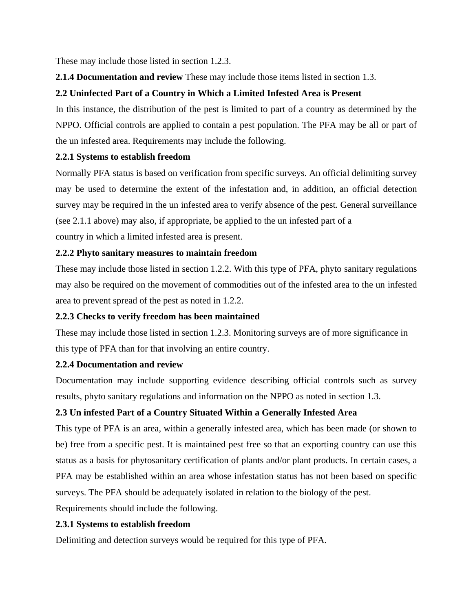These may include those listed in section 1.2.3.

# **2.1.4 Documentation and review** These may include those items listed in section 1.3.

# **2.2 Uninfected Part of a Country in Which a Limited Infested Area is Present**

In this instance, the distribution of the pest is limited to part of a country as determined by the NPPO. Official controls are applied to contain a pest population. The PFA may be all or part of the un infested area. Requirements may include the following.

# **2.2.1 Systems to establish freedom**

Normally PFA status is based on verification from specific surveys. An official delimiting survey may be used to determine the extent of the infestation and, in addition, an official detection survey may be required in the un infested area to verify absence of the pest. General surveillance (see 2.1.1 above) may also, if appropriate, be applied to the un infested part of a

country in which a limited infested area is present.

# **2.2.2 Phyto sanitary measures to maintain freedom**

These may include those listed in section 1.2.2. With this type of PFA, phyto sanitary regulations may also be required on the movement of commodities out of the infested area to the un infested area to prevent spread of the pest as noted in 1.2.2.

# **2.2.3 Checks to verify freedom has been maintained**

These may include those listed in section 1.2.3. Monitoring surveys are of more significance in this type of PFA than for that involving an entire country.

# **2.2.4 Documentation and review**

Documentation may include supporting evidence describing official controls such as survey results, phyto sanitary regulations and information on the NPPO as noted in section 1.3.

# **2.3 Un infested Part of a Country Situated Within a Generally Infested Area**

This type of PFA is an area, within a generally infested area, which has been made (or shown to be) free from a specific pest. It is maintained pest free so that an exporting country can use this status as a basis for phytosanitary certification of plants and/or plant products. In certain cases, a PFA may be established within an area whose infestation status has not been based on specific surveys. The PFA should be adequately isolated in relation to the biology of the pest.

Requirements should include the following.

# **2.3.1 Systems to establish freedom**

Delimiting and detection surveys would be required for this type of PFA.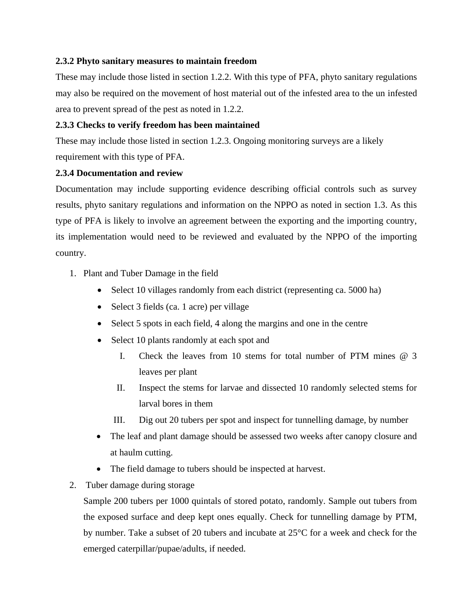### **2.3.2 Phyto sanitary measures to maintain freedom**

These may include those listed in section 1.2.2. With this type of PFA, phyto sanitary regulations may also be required on the movement of host material out of the infested area to the un infested area to prevent spread of the pest as noted in 1.2.2.

### **2.3.3 Checks to verify freedom has been maintained**

These may include those listed in section 1.2.3. Ongoing monitoring surveys are a likely requirement with this type of PFA.

### **2.3.4 Documentation and review**

Documentation may include supporting evidence describing official controls such as survey results, phyto sanitary regulations and information on the NPPO as noted in section 1.3. As this type of PFA is likely to involve an agreement between the exporting and the importing country, its implementation would need to be reviewed and evaluated by the NPPO of the importing country.

- 1. Plant and Tuber Damage in the field
	- Select 10 villages randomly from each district (representing ca. 5000 ha)
	- Select 3 fields (ca. 1 acre) per village
	- Select 5 spots in each field, 4 along the margins and one in the centre
	- Select 10 plants randomly at each spot and
		- I. Check the leaves from 10 stems for total number of PTM mines @ 3 leaves per plant
		- II. Inspect the stems for larvae and dissected 10 randomly selected stems for larval bores in them
		- III. Dig out 20 tubers per spot and inspect for tunnelling damage, by number
	- The leaf and plant damage should be assessed two weeks after canopy closure and at haulm cutting.
	- The field damage to tubers should be inspected at harvest.
- 2. Tuber damage during storage

Sample 200 tubers per 1000 quintals of stored potato, randomly. Sample out tubers from the exposed surface and deep kept ones equally. Check for tunnelling damage by PTM, by number. Take a subset of 20 tubers and incubate at 25°C for a week and check for the emerged caterpillar/pupae/adults, if needed.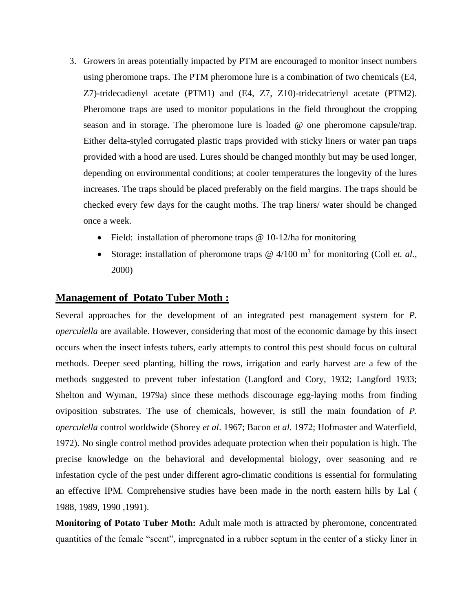- 3. Growers in areas potentially impacted by PTM are encouraged to monitor insect numbers using pheromone traps. The PTM pheromone lure is a combination of two chemicals (E4, Z7)-tridecadienyl acetate (PTM1) and (E4, Z7, Z10)-tridecatrienyl acetate (PTM2). Pheromone traps are used to monitor populations in the field throughout the cropping season and in storage. The pheromone lure is loaded @ one pheromone capsule/trap. Either delta-styled corrugated plastic traps provided with sticky liners or water pan traps provided with a hood are used. Lures should be changed monthly but may be used longer, depending on environmental conditions; at cooler temperatures the longevity of the lures increases. The traps should be placed preferably on the field margins. The traps should be checked every few days for the caught moths. The trap liners/ water should be changed once a week.
	- Field: installation of pheromone traps @ 10-12/ha for monitoring
	- Storage: installation of pheromone traps  $@ 4/100 m<sup>3</sup>$  for monitoring (Coll *et. al.*, 2000)

### **Management of Potato Tuber Moth :**

Several approaches for the development of an integrated pest management system for *P. operculella* are available. However, considering that most of the economic damage by this insect occurs when the insect infests tubers, early attempts to control this pest should focus on cultural methods. Deeper seed planting, hilling the rows, irrigation and early harvest are a few of the methods suggested to prevent tuber infestation (Langford and Cory, 1932; Langford 1933; Shelton and Wyman, 1979a) since these methods discourage egg-laying moths from finding oviposition substrates. The use of chemicals, however, is still the main foundation of *P. operculella* control worldwide (Shorey *et al*. 1967; Bacon *et al*. 1972; Hofmaster and Waterfield, 1972). No single control method provides adequate protection when their population is high. The precise knowledge on the behavioral and developmental biology, over seasoning and re infestation cycle of the pest under different agro-climatic conditions is essential for formulating an effective IPM. Comprehensive studies have been made in the north eastern hills by Lal ( 1988, 1989, 1990 ,1991).

**Monitoring of Potato Tuber Moth:** Adult male moth is attracted by pheromone, concentrated quantities of the female "scent", impregnated in a rubber septum in the center of a sticky liner in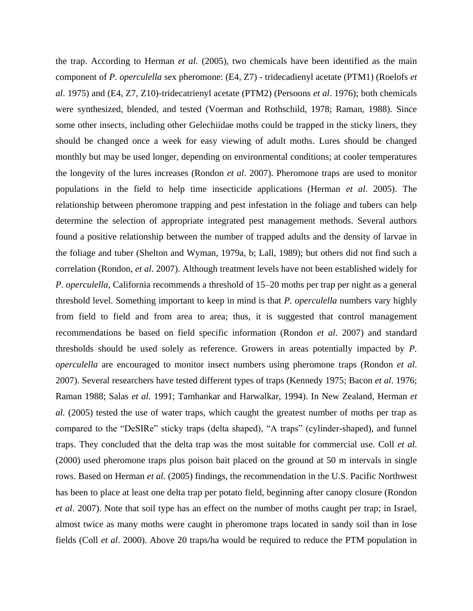the trap. According to Herman *et al.* (2005), two chemicals have been identified as the main component of *P. operculella* sex pheromone: (E4, Z7) - tridecadienyl acetate (PTM1) (Roelofs *et al*. 1975) and (E4, Z7, Z10)-tridecatrienyl acetate (PTM2) (Persoons *et al*. 1976); both chemicals were synthesized, blended, and tested (Voerman and Rothschild, 1978; Raman, 1988). Since some other insects, including other Gelechiidae moths could be trapped in the sticky liners, they should be changed once a week for easy viewing of adult moths. Lures should be changed monthly but may be used longer, depending on environmental conditions; at cooler temperatures the longevity of the lures increases (Rondon *et al*. 2007). Pheromone traps are used to monitor populations in the field to help time insecticide applications (Herman *et al*. 2005). The relationship between pheromone trapping and pest infestation in the foliage and tubers can help determine the selection of appropriate integrated pest management methods. Several authors found a positive relationship between the number of trapped adults and the density of larvae in the foliage and tuber (Shelton and Wyman, 1979a, b; Lall, 1989); but others did not find such a correlation (Rondon, *et al*. 2007). Although treatment levels have not been established widely for *P. operculella*, California recommends a threshold of 15–20 moths per trap per night as a general threshold level. Something important to keep in mind is that *P. operculella* numbers vary highly from field to field and from area to area; thus, it is suggested that control management recommendations be based on field specific information (Rondon *et al*. 2007) and standard thresholds should be used solely as reference. Growers in areas potentially impacted by *P. operculella* are encouraged to monitor insect numbers using pheromone traps (Rondon *et al*. 2007). Several researchers have tested different types of traps (Kennedy 1975; Bacon *et al*. 1976; Raman 1988; Salas *et al.* 1991; Tamhankar and Harwalkar, 1994). In New Zealand, Herman *et al.* (2005) tested the use of water traps, which caught the greatest number of moths per trap as compared to the "DeSIRe" sticky traps (delta shaped), "A traps" (cylinder-shaped), and funnel traps. They concluded that the delta trap was the most suitable for commercial use. Coll *et al*. (2000) used pheromone traps plus poison bait placed on the ground at 50 m intervals in single rows. Based on Herman *et al*. (2005) findings, the recommendation in the U.S. Pacific Northwest has been to place at least one delta trap per potato field, beginning after canopy closure (Rondon *et al*. 2007). Note that soil type has an effect on the number of moths caught per trap; in Israel, almost twice as many moths were caught in pheromone traps located in sandy soil than in lose fields (Coll *et al*. 2000). Above 20 traps/ha would be required to reduce the PTM population in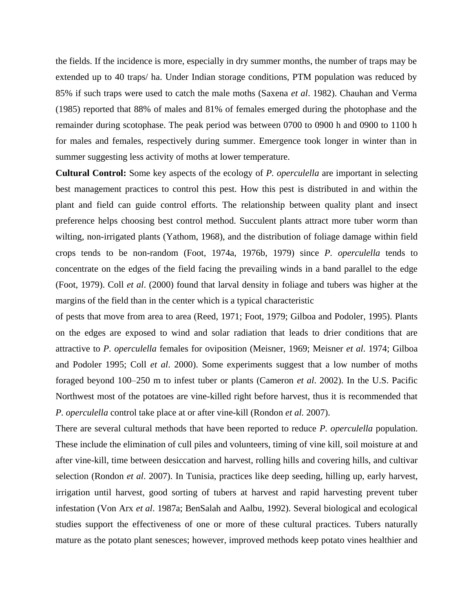the fields. If the incidence is more, especially in dry summer months, the number of traps may be extended up to 40 traps/ ha. Under Indian storage conditions, PTM population was reduced by 85% if such traps were used to catch the male moths (Saxena *et al*. 1982). Chauhan and Verma (1985) reported that 88% of males and 81% of females emerged during the photophase and the remainder during scotophase. The peak period was between 0700 to 0900 h and 0900 to 1100 h for males and females, respectively during summer. Emergence took longer in winter than in summer suggesting less activity of moths at lower temperature.

**Cultural Control:** Some key aspects of the ecology of *P. operculella* are important in selecting best management practices to control this pest. How this pest is distributed in and within the plant and field can guide control efforts. The relationship between quality plant and insect preference helps choosing best control method. Succulent plants attract more tuber worm than wilting, non-irrigated plants (Yathom, 1968), and the distribution of foliage damage within field crops tends to be non-random (Foot, 1974a, 1976b, 1979) since *P. operculella* tends to concentrate on the edges of the field facing the prevailing winds in a band parallel to the edge (Foot, 1979). Coll *et al*. (2000) found that larval density in foliage and tubers was higher at the margins of the field than in the center which is a typical characteristic

of pests that move from area to area (Reed, 1971; Foot, 1979; Gilboa and Podoler, 1995). Plants on the edges are exposed to wind and solar radiation that leads to drier conditions that are attractive to *P. operculella* females for oviposition (Meisner, 1969; Meisner *et al*. 1974; Gilboa and Podoler 1995; Coll *et al*. 2000). Some experiments suggest that a low number of moths foraged beyond 100–250 m to infest tuber or plants (Cameron *et al*. 2002). In the U.S. Pacific Northwest most of the potatoes are vine-killed right before harvest, thus it is recommended that *P. operculella* control take place at or after vine-kill (Rondon *et al.* 2007).

There are several cultural methods that have been reported to reduce *P. operculella* population. These include the elimination of cull piles and volunteers, timing of vine kill, soil moisture at and after vine-kill, time between desiccation and harvest, rolling hills and covering hills, and cultivar selection (Rondon *et al*. 2007). In Tunisia, practices like deep seeding, hilling up, early harvest, irrigation until harvest, good sorting of tubers at harvest and rapid harvesting prevent tuber infestation (Von Arx *et al*. 1987a; BenSalah and Aalbu, 1992). Several biological and ecological studies support the effectiveness of one or more of these cultural practices. Tubers naturally mature as the potato plant senesces; however, improved methods keep potato vines healthier and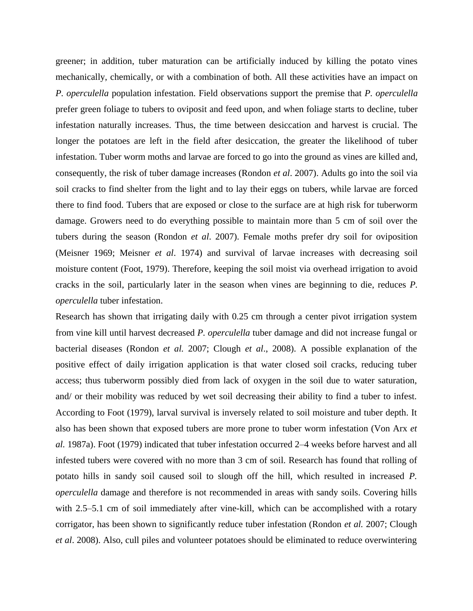greener; in addition, tuber maturation can be artificially induced by killing the potato vines mechanically, chemically, or with a combination of both. All these activities have an impact on *P. operculella* population infestation. Field observations support the premise that *P. operculella* prefer green foliage to tubers to oviposit and feed upon, and when foliage starts to decline, tuber infestation naturally increases. Thus, the time between desiccation and harvest is crucial. The longer the potatoes are left in the field after desiccation, the greater the likelihood of tuber infestation. Tuber worm moths and larvae are forced to go into the ground as vines are killed and, consequently, the risk of tuber damage increases (Rondon *et al*. 2007). Adults go into the soil via soil cracks to find shelter from the light and to lay their eggs on tubers, while larvae are forced there to find food. Tubers that are exposed or close to the surface are at high risk for tuberworm damage. Growers need to do everything possible to maintain more than 5 cm of soil over the tubers during the season (Rondon *et al*. 2007). Female moths prefer dry soil for oviposition (Meisner 1969; Meisner *et al*. 1974) and survival of larvae increases with decreasing soil moisture content (Foot, 1979). Therefore, keeping the soil moist via overhead irrigation to avoid cracks in the soil, particularly later in the season when vines are beginning to die, reduces *P. operculella* tuber infestation.

Research has shown that irrigating daily with 0.25 cm through a center pivot irrigation system from vine kill until harvest decreased *P. operculella* tuber damage and did not increase fungal or bacterial diseases (Rondon *et al.* 2007; Clough *et al*., 2008). A possible explanation of the positive effect of daily irrigation application is that water closed soil cracks, reducing tuber access; thus tuberworm possibly died from lack of oxygen in the soil due to water saturation, and/ or their mobility was reduced by wet soil decreasing their ability to find a tuber to infest. According to Foot (1979), larval survival is inversely related to soil moisture and tuber depth. It also has been shown that exposed tubers are more prone to tuber worm infestation (Von Arx *et al.* 1987a). Foot (1979) indicated that tuber infestation occurred 2–4 weeks before harvest and all infested tubers were covered with no more than 3 cm of soil. Research has found that rolling of potato hills in sandy soil caused soil to slough off the hill, which resulted in increased *P. operculella* damage and therefore is not recommended in areas with sandy soils. Covering hills with 2.5–5.1 cm of soil immediately after vine-kill, which can be accomplished with a rotary corrigator, has been shown to significantly reduce tuber infestation (Rondon *et al.* 2007; Clough *et al*. 2008). Also, cull piles and volunteer potatoes should be eliminated to reduce overwintering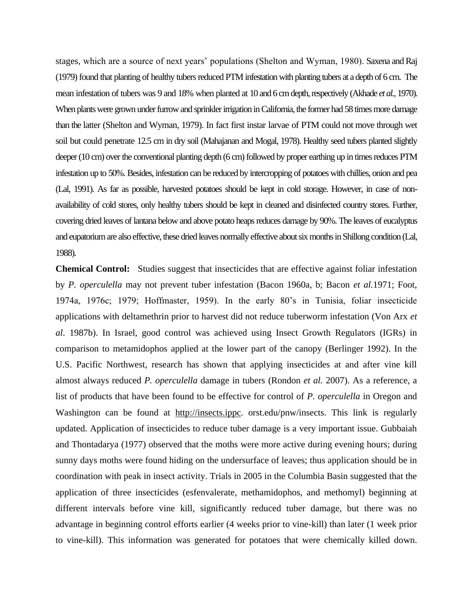stages, which are a source of next years' populations (Shelton and Wyman, 1980). Saxena and Raj (1979) found that planting of healthy tubers reduced PTM infestation with planting tubers at a depth of 6 cm. The mean infestation of tubers was 9 and 18% when planted at 10 and 6 cm depth, respectively (Akhade *et al.,* 1970). When plants were grown under furrow and sprinkler irrigation in California, the former had 58 times more damage than the latter (Shelton and Wyman, 1979). In fact first instar larvae of PTM could not move through wet soil but could penetrate 12.5 cm in dry soil (Mahajanan and Mogal, 1978). Healthy seed tubers planted slightly deeper (10 cm) over the conventional planting depth (6 cm) followed by proper earthing up in times reduces PTM infestation up to 50%. Besides, infestation can be reduced by intercropping of potatoes with chillies, onion and pea (Lal, 1991). As far as possible, harvested potatoes should be kept in cold storage. However, in case of nonavailability of cold stores, only healthy tubers should be kept in cleaned and disinfected country stores. Further, covering dried leaves of lantana below and above potato heaps reduces damage by 90%. The leaves of eucalyptus and eupatorium are also effective, these dried leaves normally effective about six months in Shillong condition (Lal, 1988).

**Chemical Control:** Studies suggest that insecticides that are effective against foliar infestation by *P. operculella* may not prevent tuber infestation (Bacon 1960a, b; Bacon *et al.*1971; Foot, 1974a, 1976c; 1979; Hoffmaster, 1959). In the early 80's in Tunisia, foliar insecticide applications with deltamethrin prior to harvest did not reduce tuberworm infestation (Von Arx *et al*. 1987b). In Israel, good control was achieved using Insect Growth Regulators (IGRs) in comparison to metamidophos applied at the lower part of the canopy (Berlinger 1992). In the U.S. Pacific Northwest, research has shown that applying insecticides at and after vine kill almost always reduced *P. operculella* damage in tubers (Rondon *et al.* 2007). As a reference, a list of products that have been found to be effective for control of *P. operculella* in Oregon and Washington can be found at [http://insects.ippc.](http://insects.ippc/) orst.edu/pnw/insects. This link is regularly updated. Application of insecticides to reduce tuber damage is a very important issue. Gubbaiah and Thontadarya (1977) observed that the moths were more active during evening hours; during sunny days moths were found hiding on the undersurface of leaves; thus application should be in coordination with peak in insect activity. Trials in 2005 in the Columbia Basin suggested that the application of three insecticides (esfenvalerate, methamidophos, and methomyl) beginning at different intervals before vine kill, significantly reduced tuber damage, but there was no advantage in beginning control efforts earlier (4 weeks prior to vine-kill) than later (1 week prior to vine-kill). This information was generated for potatoes that were chemically killed down.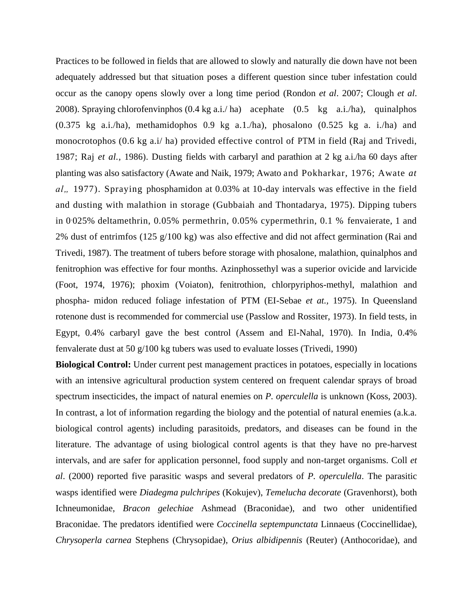Practices to be followed in fields that are allowed to slowly and naturally die down have not been adequately addressed but that situation poses a different question since tuber infestation could occur as the canopy opens slowly over a long time period (Rondon *et al*. 2007; Clough *et al*. 2008). Spraying chlorofenvinphos (0.4 kg a.i./ ha) acephate (0.5 kg a.i./ha), quinalphos (0.375 kg a.i./ha), methamidophos 0.9 kg a.1./ha), phosalono (0.525 kg a. i./ha) and monocrotophos (0.6 kg a.i/ ha) provided effective control of PTM in field (Raj and Trivedi, 1987; Raj *et al.,* 1986). Dusting fields with carbaryl and parathion at 2 kg a.i./ha 60 days after planting was also satisfactory (Awate and Naik, 1979; Awato and Pokharkar, 1976; Awate *at*  al, 1977). Spraying phosphamidon at 0.03% at 10-day intervals was effective in the field and dusting with malathion in storage (Gubbaiah and Thontadarya, 1975). Dipping tubers in 0.025% deltamethrin, 0.05% permethrin, 0.05% cypermethrin, 0.1 % fenvaierate, 1 and 2% dust of entrimfos (125 g/100 kg) was also effective and did not affect germination (Rai and Trivedi, 1987). The treatment of tubers before storage with phosalone, malathion, quinalphos and fenitrophion was effective for four months. Azinphossethyl was a superior ovicide and larvicide (Foot, 1974, 1976); phoxim (Voiaton), fenitrothion, chlorpyriphos-methyl, malathion and phospha- midon reduced foliage infestation of PTM (EI-Sebae *et at.,* 1975). In Queensland rotenone dust is recommended for commercial use (Passlow and Rossiter, 1973). In field tests, in Egypt, 0.4% carbaryl gave the best control (Assem and El-Nahal, 1970). In India, 0.4% fenvalerate dust at 50 g/100 kg tubers was used to evaluate losses (Trivedi, 1990)

**Biological Control:** Under current pest management practices in potatoes, especially in locations with an intensive agricultural production system centered on frequent calendar sprays of broad spectrum insecticides, the impact of natural enemies on *P. operculella* is unknown (Koss, 2003). In contrast, a lot of information regarding the biology and the potential of natural enemies (a.k.a. biological control agents) including parasitoids, predators, and diseases can be found in the literature. The advantage of using biological control agents is that they have no pre-harvest intervals, and are safer for application personnel, food supply and non-target organisms. Coll *et al*. (2000) reported five parasitic wasps and several predators of *P. operculella*. The parasitic wasps identified were *Diadegma pulchripes* (Kokujev), *Temelucha decorate* (Gravenhorst), both Ichneumonidae, *Bracon gelechiae* Ashmead (Braconidae), and two other unidentified Braconidae. The predators identified were *Coccinella septempunctata* Linnaeus (Coccinellidae), *Chrysoperla carnea* Stephens (Chrysopidae), *Orius albidipennis* (Reuter) (Anthocoridae), and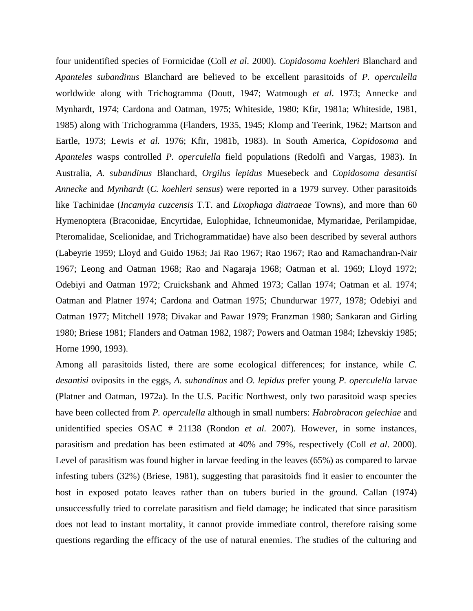four unidentified species of Formicidae (Coll *et al*. 2000). *Copidosoma koehleri* Blanchard and *Apanteles subandinus* Blanchard are believed to be excellent parasitoids of *P. operculella* worldwide along with Trichogramma (Doutt, 1947; Watmough *et al*. 1973; Annecke and Mynhardt, 1974; Cardona and Oatman, 1975; Whiteside, 1980; Kfir, 1981a; Whiteside, 1981, 1985) along with Trichogramma (Flanders, 1935, 1945; Klomp and Teerink, 1962; Martson and Eartle, 1973; Lewis *et al.* 1976; Kfir, 1981b, 1983). In South America, *Copidosoma* and *Apanteles* wasps controlled *P. operculella* field populations (Redolfi and Vargas, 1983). In Australia, *A. subandinus* Blanchard, *Orgilus lepidus* Muesebeck and *Copidosoma desantisi Annecke* and *Mynhardt* (*C. koehleri sensus*) were reported in a 1979 survey. Other parasitoids like Tachinidae (*Incamyia cuzcensis* T.T. and *Lixophaga diatraeae* Towns), and more than 60 Hymenoptera (Braconidae, Encyrtidae, Eulophidae, Ichneumonidae, Mymaridae, Perilampidae, Pteromalidae, Scelionidae, and Trichogrammatidae) have also been described by several authors (Labeyrie 1959; Lloyd and Guido 1963; Jai Rao 1967; Rao 1967; Rao and Ramachandran-Nair 1967; Leong and Oatman 1968; Rao and Nagaraja 1968; Oatman et al. 1969; Lloyd 1972; Odebiyi and Oatman 1972; Cruickshank and Ahmed 1973; Callan 1974; Oatman et al. 1974; Oatman and Platner 1974; Cardona and Oatman 1975; Chundurwar 1977, 1978; Odebiyi and Oatman 1977; Mitchell 1978; Divakar and Pawar 1979; Franzman 1980; Sankaran and Girling 1980; Briese 1981; Flanders and Oatman 1982, 1987; Powers and Oatman 1984; Izhevskiy 1985; Horne 1990, 1993).

Among all parasitoids listed, there are some ecological differences; for instance, while *C. desantisi* oviposits in the eggs, *A. subandinus* and *O. lepidus* prefer young *P. operculella* larvae (Platner and Oatman, 1972a). In the U.S. Pacific Northwest, only two parasitoid wasp species have been collected from *P. operculella* although in small numbers: *Habrobracon gelechiae* and unidentified species OSAC # 21138 (Rondon *et al.* 2007). However, in some instances, parasitism and predation has been estimated at 40% and 79%, respectively (Coll *et al*. 2000). Level of parasitism was found higher in larvae feeding in the leaves (65%) as compared to larvae infesting tubers (32%) (Briese, 1981), suggesting that parasitoids find it easier to encounter the host in exposed potato leaves rather than on tubers buried in the ground. Callan (1974) unsuccessfully tried to correlate parasitism and field damage; he indicated that since parasitism does not lead to instant mortality, it cannot provide immediate control, therefore raising some questions regarding the efficacy of the use of natural enemies. The studies of the culturing and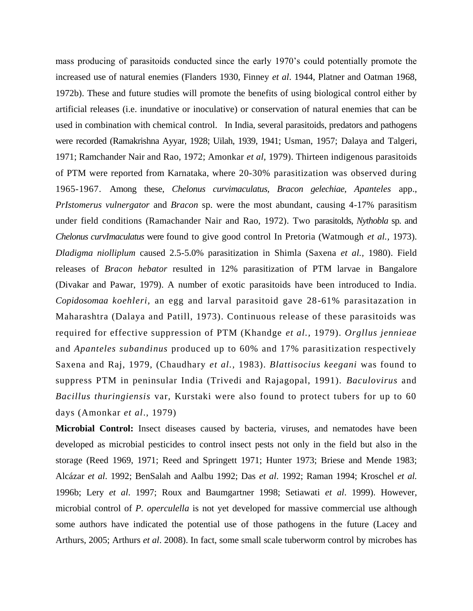mass producing of parasitoids conducted since the early 1970's could potentially promote the increased use of natural enemies (Flanders 1930, Finney *et al*. 1944, Platner and Oatman 1968, 1972b). These and future studies will promote the benefits of using biological control either by artificial releases (i.e. inundative or inoculative) or conservation of natural enemies that can be used in combination with chemical control. In India, several parasitoids, predators and pathogens were recorded (Ramakrishna Ayyar, 1928; Uilah, 1939, 1941; Usman, 1957; Dalaya and Talgeri, 1971; Ramchander Nair and Rao, 1972; Amonkar *et al,* 1979). Thirteen indigenous parasitoids of PTM were reported from Karnataka, where 20-30% parasitization was observed during 1965-1967. Among these, *Chelonus curvimaculatus, Bracon gelechiae, Apanteles* app., *PrIstomerus vulnergator* and *Bracon* sp. were the most abundant, causing 4-17% parasitism under field conditions (Ramachander Nair and Rao, 1972). Two parasitolds, *Nythobla* sp. and *Chelonus curvImaculatus* were found to give good control In Pretoria (Watmough *et al.,* 1973). *Dladigma niolliplum* caused 2.5-5.0% parasitization in Shimla (Saxena *et al.,* 1980). Field releases of *Bracon hebator* resulted in 12% parasitization of PTM larvae in Bangalore (Divakar and Pawar, 1979). A number of exotic parasitoids have been introduced to India. *Copidosomaa koehleri,* an egg and larval parasitoid gave 28-61% parasitazation in Maharashtra (Dalaya and Patill, 1973). Continuous release of these parasitoids was required for effective suppression of PTM (Khandge *et al.,* 1979). *Orgllus jennieae* and *Apanteles subandinus* produced up to 60% and 17% parasitization respectively Saxena and Raj, 1979, (Chaudhary *et al.,* 1983). *Blattisocius keegani* was found to suppress PTM in peninsular India (Trivedi and Rajagopal, 1991). *Baculovirus* and *Bacillus thuringiensis* var, Kurstaki were also found to protect tubers for up to 60 days (Amonkar *et al*., 1979)

**Microbial Control:** Insect diseases caused by bacteria, viruses, and nematodes have been developed as microbial pesticides to control insect pests not only in the field but also in the storage (Reed 1969, 1971; Reed and Springett 1971; Hunter 1973; Briese and Mende 1983; Alcázar *et al*. 1992; BenSalah and Aalbu 1992; Das *et al*. 1992; Raman 1994; Kroschel *et al.* 1996b; Lery *et al*. 1997; Roux and Baumgartner 1998; Setiawati *et al*. 1999). However, microbial control of *P. operculella* is not yet developed for massive commercial use although some authors have indicated the potential use of those pathogens in the future (Lacey and Arthurs, 2005; Arthurs *et al*. 2008). In fact, some small scale tuberworm control by microbes has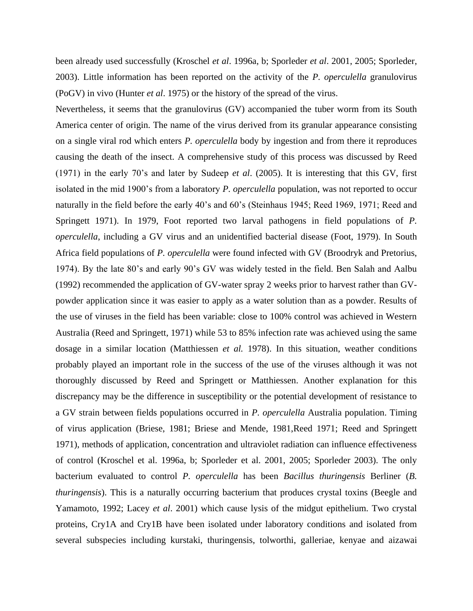been already used successfully (Kroschel *et al*. 1996a, b; Sporleder *et al*. 2001, 2005; Sporleder, 2003). Little information has been reported on the activity of the *P. operculella* granulovirus (PoGV) in vivo (Hunter *et al*. 1975) or the history of the spread of the virus.

Nevertheless, it seems that the granulovirus (GV) accompanied the tuber worm from its South America center of origin. The name of the virus derived from its granular appearance consisting on a single viral rod which enters *P. operculella* body by ingestion and from there it reproduces causing the death of the insect. A comprehensive study of this process was discussed by Reed (1971) in the early 70's and later by Sudeep *et al*. (2005). It is interesting that this GV, first isolated in the mid 1900's from a laboratory *P. operculella* population, was not reported to occur naturally in the field before the early 40's and 60's (Steinhaus 1945; Reed 1969, 1971; Reed and Springett 1971). In 1979, Foot reported two larval pathogens in field populations of *P. operculella*, including a GV virus and an unidentified bacterial disease (Foot, 1979). In South Africa field populations of *P. operculella* were found infected with GV (Broodryk and Pretorius, 1974). By the late 80's and early 90's GV was widely tested in the field. Ben Salah and Aalbu (1992) recommended the application of GV-water spray 2 weeks prior to harvest rather than GVpowder application since it was easier to apply as a water solution than as a powder. Results of the use of viruses in the field has been variable: close to 100% control was achieved in Western Australia (Reed and Springett, 1971) while 53 to 85% infection rate was achieved using the same dosage in a similar location (Matthiessen *et al.* 1978). In this situation, weather conditions probably played an important role in the success of the use of the viruses although it was not thoroughly discussed by Reed and Springett or Matthiessen. Another explanation for this discrepancy may be the difference in susceptibility or the potential development of resistance to a GV strain between fields populations occurred in *P. operculella* Australia population. Timing of virus application (Briese, 1981; Briese and Mende, 1981,Reed 1971; Reed and Springett 1971), methods of application, concentration and ultraviolet radiation can influence effectiveness of control (Kroschel et al. 1996a, b; Sporleder et al. 2001, 2005; Sporleder 2003). The only bacterium evaluated to control *P. operculella* has been *Bacillus thuringensis* Berliner (*B. thuringensis*). This is a naturally occurring bacterium that produces crystal toxins (Beegle and Yamamoto, 1992; Lacey *et al*. 2001) which cause lysis of the midgut epithelium. Two crystal proteins, Cry1A and Cry1B have been isolated under laboratory conditions and isolated from several subspecies including kurstaki, thuringensis, tolworthi, galleriae, kenyae and aizawai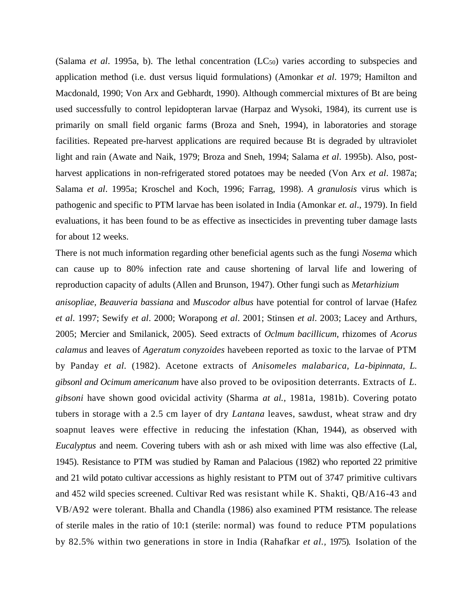(Salama *et al*. 1995a, b). The lethal concentration (LC50) varies according to subspecies and application method (i.e. dust versus liquid formulations) (Amonkar *et al*. 1979; Hamilton and Macdonald, 1990; Von Arx and Gebhardt, 1990). Although commercial mixtures of Bt are being used successfully to control lepidopteran larvae (Harpaz and Wysoki, 1984), its current use is primarily on small field organic farms (Broza and Sneh, 1994), in laboratories and storage facilities. Repeated pre-harvest applications are required because Bt is degraded by ultraviolet light and rain (Awate and Naik, 1979; Broza and Sneh, 1994; Salama *et al*. 1995b). Also, postharvest applications in non-refrigerated stored potatoes may be needed (Von Arx *et al*. 1987a; Salama *et al*. 1995a; Kroschel and Koch, 1996; Farrag, 1998). *A granulosis* virus which is pathogenic and specific to PTM larvae has been isolated in India (Amonkar *et. al*., 1979). In field evaluations, it has been found to be as effective as insecticides in preventing tuber damage lasts for about 12 weeks.

There is not much information regarding other beneficial agents such as the fungi *Nosema* which can cause up to 80% infection rate and cause shortening of larval life and lowering of reproduction capacity of adults (Allen and Brunson, 1947). Other fungi such as *Metarhizium*

*anisopliae, Beauveria bassiana* and *Muscodor albus* have potential for control of larvae (Hafez *et al*. 1997; Sewify *et al*. 2000; Worapong *et al*. 2001; Stinsen *et al*. 2003; Lacey and Arthurs, 2005; Mercier and Smilanick, 2005). Seed extracts of *Oclmum bacillicum,* rhizomes of *Acorus calamus* and leaves of *Ageratum conyzoides* havebeen reported as toxic to the larvae of PTM by Panday *et al.* (1982). Acetone extracts of *Anisomeles malabarica, La-bipinnata, L. gibsonl and Ocimum americanum* have also proved to be oviposition deterrants. Extracts of *L. gibsoni* have shown good ovicidal activity (Sharma *at al.,* 1981a, 1981b). Covering potato tubers in storage with a 2.5 cm layer of dry *Lantana* leaves, sawdust, wheat straw and dry soapnut leaves were effective in reducing the infestation (Khan, 1944), as observed with *Eucalyptus* and neem. Covering tubers with ash or ash mixed with lime was also effective (Lal, 1945). Resistance to PTM was studied by Raman and Palacious (1982) who reported 22 primitive and 21 wild potato cultivar accessions as highly resistant to PTM out of 3747 primitive cultivars and 452 wild species screened. Cultivar Red was resistant while K. Shakti, QB/A16-43 and VB/A92 were tolerant. Bhalla and Chandla (1986) also examined PTM resistance. The release of sterile males in the ratio of 10:1 (sterile: normal) was found to reduce PTM populations by 82.5% within two generations in store in India (Rahafkar *et al.,* 1975). Isolation of the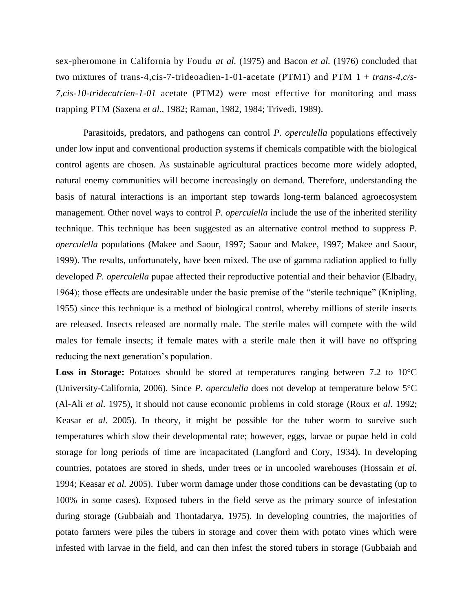sex-pheromone in California by Foudu *at al.* (1975) and Bacon *et al.* (1976) concluded that two mixtures of trans-4,cis-7-trideoadien-1-01-acetate (PTM1) and PTM 1 + *trans-4,c/s-7,cis-10-tridecatrien-1-01* acetate (PTM2) were most effective for monitoring and mass trapping PTM (Saxena *et al.,* 1982; Raman, 1982, 1984; Trivedi, 1989).

 Parasitoids, predators, and pathogens can control *P. operculella* populations effectively under low input and conventional production systems if chemicals compatible with the biological control agents are chosen. As sustainable agricultural practices become more widely adopted, natural enemy communities will become increasingly on demand. Therefore, understanding the basis of natural interactions is an important step towards long-term balanced agroecosystem management. Other novel ways to control *P. operculella* include the use of the inherited sterility technique. This technique has been suggested as an alternative control method to suppress *P. operculella* populations (Makee and Saour, 1997; Saour and Makee, 1997; Makee and Saour, 1999). The results, unfortunately, have been mixed. The use of gamma radiation applied to fully developed *P. operculella* pupae affected their reproductive potential and their behavior (Elbadry, 1964); those effects are undesirable under the basic premise of the "sterile technique" (Knipling, 1955) since this technique is a method of biological control, whereby millions of sterile insects are released. Insects released are normally male. The sterile males will compete with the wild males for female insects; if female mates with a sterile male then it will have no offspring reducing the next generation's population.

Loss in Storage: Potatoes should be stored at temperatures ranging between 7.2 to 10<sup>o</sup>C (University-California, 2006). Since *P. operculella* does not develop at temperature below 5°C (Al-Ali *et al*. 1975), it should not cause economic problems in cold storage (Roux *et al*. 1992; Keasar *et al*. 2005). In theory, it might be possible for the tuber worm to survive such temperatures which slow their developmental rate; however, eggs, larvae or pupae held in cold storage for long periods of time are incapacitated (Langford and Cory, 1934). In developing countries, potatoes are stored in sheds, under trees or in uncooled warehouses (Hossain *et al.* 1994; Keasar *et al.* 2005). Tuber worm damage under those conditions can be devastating (up to 100% in some cases). Exposed tubers in the field serve as the primary source of infestation during storage (Gubbaiah and Thontadarya, 1975). In developing countries, the majorities of potato farmers were piles the tubers in storage and cover them with potato vines which were infested with larvae in the field, and can then infest the stored tubers in storage (Gubbaiah and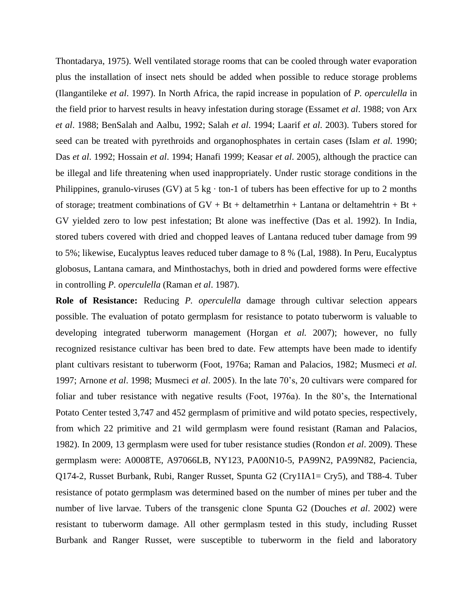Thontadarya, 1975). Well ventilated storage rooms that can be cooled through water evaporation plus the installation of insect nets should be added when possible to reduce storage problems (Ilangantileke *et al*. 1997). In North Africa, the rapid increase in population of *P. operculella* in the field prior to harvest results in heavy infestation during storage (Essamet *et al*. 1988; von Arx *et al*. 1988; BenSalah and Aalbu, 1992; Salah *et al*. 1994; Laarif *et al*. 2003). Tubers stored for seed can be treated with pyrethroids and organophosphates in certain cases (Islam *et al.* 1990; Das *et al*. 1992; Hossain *et al*. 1994; Hanafi 1999; Keasar *et al*. 2005), although the practice can be illegal and life threatening when used inappropriately. Under rustic storage conditions in the Philippines, granulo-viruses (GV) at 5 kg ⋅ ton-1 of tubers has been effective for up to 2 months of storage; treatment combinations of  $GV + Bt +$  deltametrhin + Lantana or deltamehtrin + Bt + GV yielded zero to low pest infestation; Bt alone was ineffective (Das et al. 1992). In India, stored tubers covered with dried and chopped leaves of Lantana reduced tuber damage from 99 to 5%; likewise, Eucalyptus leaves reduced tuber damage to 8 % (Lal, 1988). In Peru, Eucalyptus globosus, Lantana camara, and Minthostachys, both in dried and powdered forms were effective in controlling *P. operculella* (Raman *et al*. 1987).

**Role of Resistance:** Reducing *P. operculella* damage through cultivar selection appears possible. The evaluation of potato germplasm for resistance to potato tuberworm is valuable to developing integrated tuberworm management (Horgan *et al.* 2007); however, no fully recognized resistance cultivar has been bred to date. Few attempts have been made to identify plant cultivars resistant to tuberworm (Foot, 1976a; Raman and Palacios, 1982; Musmeci *et al.* 1997; Arnone *et al*. 1998; Musmeci *et al*. 2005). In the late 70's, 20 cultivars were compared for foliar and tuber resistance with negative results (Foot, 1976a). In the 80's, the International Potato Center tested 3,747 and 452 germplasm of primitive and wild potato species, respectively, from which 22 primitive and 21 wild germplasm were found resistant (Raman and Palacios, 1982). In 2009, 13 germplasm were used for tuber resistance studies (Rondon *et al*. 2009). These germplasm were: A0008TE, A97066LB, NY123, PA00N10-5, PA99N2, PA99N82, Paciencia, Q174-2, Russet Burbank, Rubi, Ranger Russet, Spunta G2 (Cry1IA1= Cry5), and T88-4. Tuber resistance of potato germplasm was determined based on the number of mines per tuber and the number of live larvae. Tubers of the transgenic clone Spunta G2 (Douches *et al*. 2002) were resistant to tuberworm damage. All other germplasm tested in this study, including Russet Burbank and Ranger Russet, were susceptible to tuberworm in the field and laboratory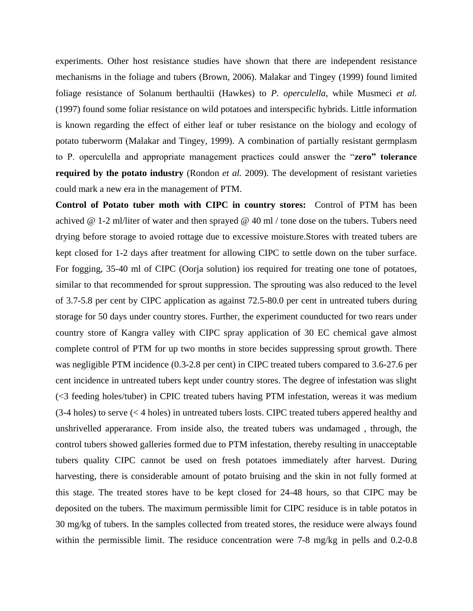experiments. Other host resistance studies have shown that there are independent resistance mechanisms in the foliage and tubers (Brown, 2006). Malakar and Tingey (1999) found limited foliage resistance of Solanum berthaultii (Hawkes) to *P. operculella*, while Musmeci *et al.* (1997) found some foliar resistance on wild potatoes and interspecific hybrids. Little information is known regarding the effect of either leaf or tuber resistance on the biology and ecology of potato tuberworm (Malakar and Tingey, 1999). A combination of partially resistant germplasm to P. operculella and appropriate management practices could answer the "**zero" tolerance required by the potato industry** (Rondon *et al.* 2009). The development of resistant varieties could mark a new era in the management of PTM.

**Control of Potato tuber moth with CIPC in country stores:** Control of PTM has been achived @ 1-2 ml/liter of water and then sprayed @ 40 ml / tone dose on the tubers. Tubers need drying before storage to avoied rottage due to excessive moisture.Stores with treated tubers are kept closed for 1-2 days after treatment for allowing CIPC to settle down on the tuber surface. For fogging, 35-40 ml of CIPC (Oorja solution) ios required for treating one tone of potatoes, similar to that recommended for sprout suppression. The sprouting was also reduced to the level of 3.7-5.8 per cent by CIPC application as against 72.5-80.0 per cent in untreated tubers during storage for 50 days under country stores. Further, the experiment counducted for two rears under country store of Kangra valley with CIPC spray application of 30 EC chemical gave almost complete control of PTM for up two months in store becides suppressing sprout growth. There was negligible PTM incidence (0.3-2.8 per cent) in CIPC treated tubers compared to 3.6-27.6 per cent incidence in untreated tubers kept under country stores. The degree of infestation was slight (<3 feeding holes/tuber) in CPIC treated tubers having PTM infestation, wereas it was medium (3-4 holes) to serve (< 4 holes) in untreated tubers losts. CIPC treated tubers appered healthy and unshrivelled apperarance. From inside also, the treated tubers was undamaged , through, the control tubers showed galleries formed due to PTM infestation, thereby resulting in unacceptable tubers quality CIPC cannot be used on fresh potatoes immediately after harvest. During harvesting, there is considerable amount of potato bruising and the skin in not fully formed at this stage. The treated stores have to be kept closed for 24-48 hours, so that CIPC may be deposited on the tubers. The maximum permissible limit for CIPC residuce is in table potatos in 30 mg/kg of tubers. In the samples collected from treated stores, the residuce were always found within the permissible limit. The residuce concentration were 7-8 mg/kg in pells and 0.2-0.8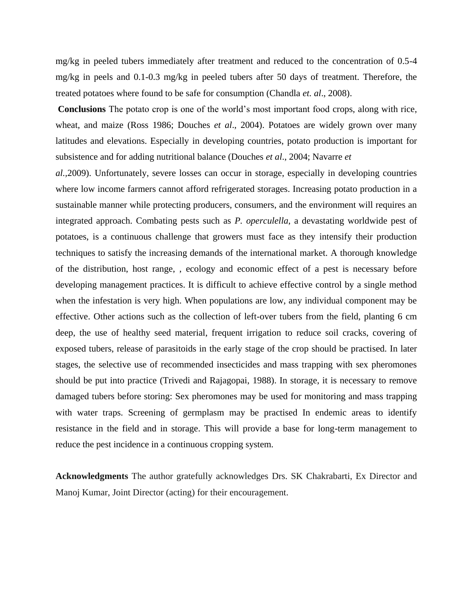mg/kg in peeled tubers immediately after treatment and reduced to the concentration of 0.5-4 mg/kg in peels and 0.1-0.3 mg/kg in peeled tubers after 50 days of treatment. Therefore, the treated potatoes where found to be safe for consumption (Chandla *et. al*., 2008).

**Conclusions** The potato crop is one of the world's most important food crops, along with rice, wheat, and maize (Ross 1986; Douches *et al*., 2004). Potatoes are widely grown over many latitudes and elevations. Especially in developing countries, potato production is important for subsistence and for adding nutritional balance (Douches *et al*., 2004; Navarre *et*

*al.,*2009). Unfortunately, severe losses can occur in storage, especially in developing countries where low income farmers cannot afford refrigerated storages. Increasing potato production in a sustainable manner while protecting producers, consumers, and the environment will requires an integrated approach. Combating pests such as *P. operculella*, a devastating worldwide pest of potatoes, is a continuous challenge that growers must face as they intensify their production techniques to satisfy the increasing demands of the international market. A thorough knowledge of the distribution, host range, , ecology and economic effect of a pest is necessary before developing management practices. It is difficult to achieve effective control by a single method when the infestation is very high. When populations are low, any individual component may be effective. Other actions such as the collection of left-over tubers from the field, planting 6 cm deep, the use of healthy seed material, frequent irrigation to reduce soil cracks, covering of exposed tubers, release of parasitoids in the early stage of the crop should be practised. In later stages, the selective use of recommended insecticides and mass trapping with sex pheromones should be put into practice (Trivedi and Rajagopai, 1988). In storage, it is necessary to remove damaged tubers before storing: Sex pheromones may be used for monitoring and mass trapping with water traps. Screening of germplasm may be practised In endemic areas to identify resistance in the field and in storage. This will provide a base for long-term management to reduce the pest incidence in a continuous cropping system.

**Acknowledgments** The author gratefully acknowledges Drs. SK Chakrabarti, Ex Director and Manoj Kumar, Joint Director (acting) for their encouragement.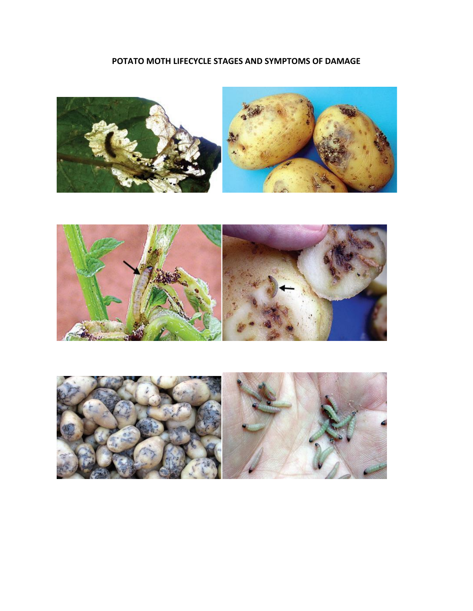# **POTATO MOTH LIFECYCLE STAGES AND SYMPTOMS OF DAMAGE**





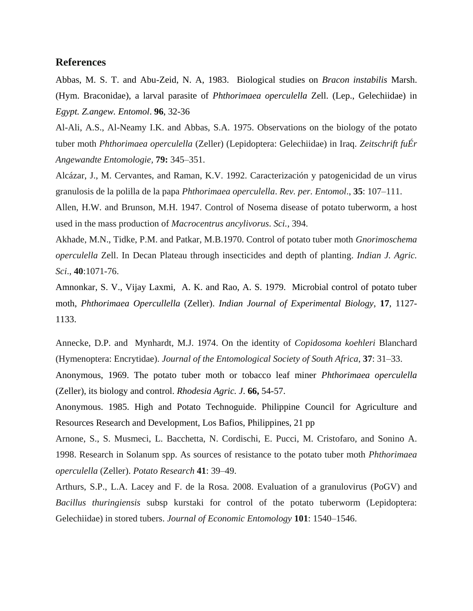#### **References**

Abbas, M. S. T. and Abu-Zeid, N. A, 1983. Biological studies on *Bracon instabilis* Marsh. (Hym. Braconidae), a larval parasite of *Phthorimaea operculella* Zell. (Lep., Gelechiidae) in *Egypt. Z.angew. Entomol*. **96**, 32-36

Al-Ali, A.S., Al-Neamy I.K. and Abbas, S.A. 1975. Observations on the biology of the potato tuber moth *Phthorimaea operculella* (Zeller) (Lepidoptera: Gelechiidae) in Iraq. *Zeitschrift fuÉr Angewandte Entomologie,* **79:** 345–351.

Alcázar, J., M. Cervantes, and Raman, K.V. 1992. Caracterización y patogenicidad de un virus granulosis de la polilla de la papa *Phthorimaea operculella*. *Rev. per. Entomol*., **35**: 107–111.

Allen, H.W. and Brunson, M.H. 1947. Control of Nosema disease of potato tuberworm, a host used in the mass production of *Macrocentrus ancylivorus*. *Sci.*, 394.

Akhade, M.N., Tidke, P.M. and Patkar, M.B.1970. Control of potato tuber moth *Gnorimoschema operculella* Zell. In Decan Plateau through insecticides and depth of planting. *Indian J. Agric. Sci*., **40**:1071-76.

Amnonkar, S. V., Vijay Laxmi, A. K. and Rao, A. S. 1979. Microbial control of potato tuber moth, *Phthorimaea Opercullella* (Zeller). *Indian Journal of Experimental Biology*, **17**, 1127- 1133.

Annecke, D.P. and Mynhardt, M.J. 1974. On the identity of *Copidosoma koehleri* Blanchard (Hymenoptera: Encrytidae). *Journal of the Entomological Society of South Africa*, **37**: 31–33.

Anonymous, 1969. The potato tuber moth or tobacco leaf miner *Phthorimaea operculella* (Zeller), its biology and control. *Rhodesia Agric. J*. **66,** 54-57.

Anonymous. 1985. High and Potato Technoguide. Philippine Council for Agriculture and Resources Research and Development, Los Bafios, Philippines, 21 pp

Arnone, S., S. Musmeci, L. Bacchetta, N. Cordischi, E. Pucci, M. Cristofaro, and Sonino A. 1998. Research in Solanum spp. As sources of resistance to the potato tuber moth *Phthorimaea operculella* (Zeller). *Potato Research* **41**: 39–49.

Arthurs, S.P., L.A. Lacey and F. de la Rosa. 2008. Evaluation of a granulovirus (PoGV) and *Bacillus thuringiensis* subsp kurstaki for control of the potato tuberworm (Lepidoptera: Gelechiidae) in stored tubers. *Journal of Economic Entomology* **101**: 1540–1546.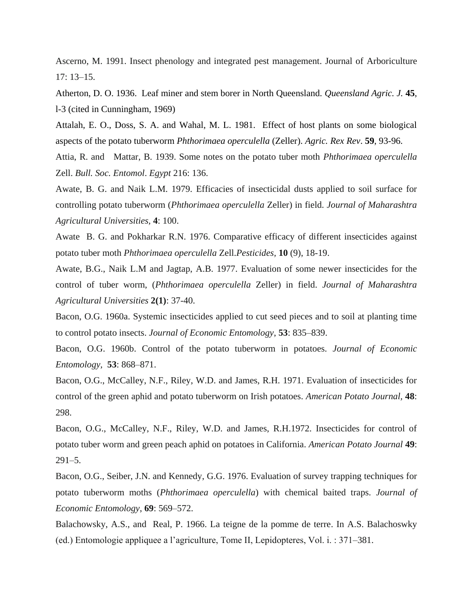Ascerno, M. 1991. Insect phenology and integrated pest management. Journal of Arboriculture 17: 13–15.

Atherton, D. O. 1936. Leaf miner and stem borer in North Queensland. *Queensland Agric. J.* **45**, l-3 (cited in Cunningham, 1969)

Attalah, E. O., Doss, S. A. and Wahal, M. L. 1981. Effect of host plants on some biological aspects of the potato tuberworm *Phthorimaea operculella* (Zeller). *Agric. Rex Rev*. **59**, 93-96.

Attia, R. and Mattar, B. 1939. Some notes on the potato tuber moth *Phthorimaea operculella*  Zell. *Bull. Soc. Entomol*. *Egypt* 216: 136.

Awate, B. G. and Naik L.M. 1979. Efficacies of insecticidal dusts applied to soil surface for controlling potato tuberworm (*Phthorimaea operculella* Zeller) in field. *Journal of Maharashtra Agricultural Universities,* **4**: 100.

Awate B. G. and Pokharkar R.N. 1976. Comparative efficacy of different insecticides against potato tuber moth *Phthorimaea operculella* Zell.*Pesticides,* **10** (9), 18-19.

Awate, B.G., Naik L.M and Jagtap, A.B. 1977. Evaluation of some newer insecticides for the control of tuber worm, (*Phthorimaea operculella* Zeller) in field. *Journal of Maharashtra Agricultural Universities* **2(1)**: 37-40.

Bacon, O.G. 1960a. Systemic insecticides applied to cut seed pieces and to soil at planting time to control potato insects. *Journal of Economic Entomology*, **53**: 835–839.

Bacon, O.G. 1960b. Control of the potato tuberworm in potatoes. *Journal of Economic Entomology,* **53**: 868–871.

Bacon, O.G., McCalley, N.F., Riley, W.D. and James, R.H. 1971. Evaluation of insecticides for control of the green aphid and potato tuberworm on Irish potatoes. *American Potato Journal,* **48**: 298.

Bacon, O.G., McCalley, N.F., Riley, W.D. and James, R.H.1972. Insecticides for control of potato tuber worm and green peach aphid on potatoes in California. *American Potato Journal* **49**:  $291 - 5$ .

Bacon, O.G., Seiber, J.N. and Kennedy, G.G. 1976. Evaluation of survey trapping techniques for potato tuberworm moths (*Phthorimaea operculella*) with chemical baited traps. *Journal of Economic Entomology*, **69**: 569–572.

Balachowsky, A.S., and Real, P. 1966. La teigne de la pomme de terre. In A.S. Balachoswky (ed.) Entomologie appliquee a l'agriculture, Tome II, Lepidopteres, Vol. i. : 371–381.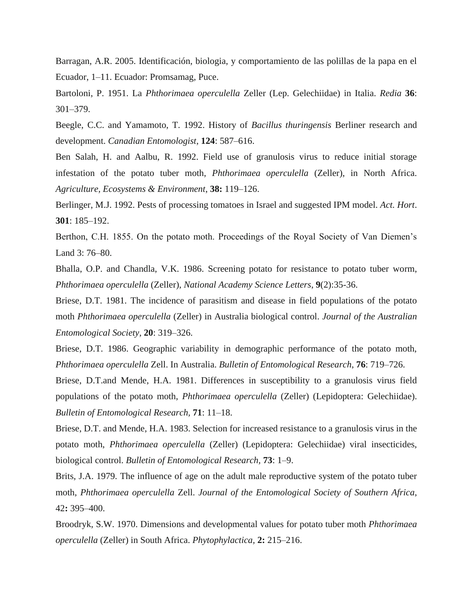Barragan, A.R. 2005. Identificación, biologia, y comportamiento de las polillas de la papa en el Ecuador, 1–11. Ecuador: Promsamag, Puce.

Bartoloni, P. 1951. La *Phthorimaea operculella* Zeller (Lep. Gelechiidae) in Italia. *Redia* **36**: 301–379.

Beegle, C.C. and Yamamoto, T. 1992. History of *Bacillus thuringensis* Berliner research and development. *Canadian Entomologist*, **124**: 587–616.

Ben Salah, H. and Aalbu, R. 1992. Field use of granulosis virus to reduce initial storage infestation of the potato tuber moth, *Phthorimaea operculella* (Zeller), in North Africa. *Agriculture, Ecosystems & Environment*, **38:** 119–126.

Berlinger, M.J. 1992. Pests of processing tomatoes in Israel and suggested IPM model. *Act. Hort*. **301**: 185–192.

Berthon, C.H. 1855. On the potato moth. Proceedings of the Royal Society of Van Diemen's Land 3: 76–80.

Bhalla, O.P. and Chandla, V.K. 1986. Screening potato for resistance to potato tuber worm, *Phthorimaea operculella* (Zeller), *National Academy Science Letters*, **9**(2):35-36.

Briese, D.T. 1981. The incidence of parasitism and disease in field populations of the potato moth *Phthorimaea operculella* (Zeller) in Australia biological control. *Journal of the Australian Entomological Society,* **20**: 319–326.

Briese, D.T. 1986. Geographic variability in demographic performance of the potato moth, *Phthorimaea operculella* Zell. In Australia. *Bulletin of Entomological Research*, **76**: 719–726.

Briese, D.T.and Mende, H.A. 1981. Differences in susceptibility to a granulosis virus field populations of the potato moth, *Phthorimaea operculella* (Zeller) (Lepidoptera: Gelechiidae). *Bulletin of Entomological Research,* **71**: 11–18.

Briese, D.T. and Mende, H.A. 1983. Selection for increased resistance to a granulosis virus in the potato moth, *Phthorimaea operculella* (Zeller) (Lepidoptera: Gelechiidae) viral insecticides, biological control. *Bulletin of Entomological Research,* **73**: 1–9.

Brits, J.A. 1979. The influence of age on the adult male reproductive system of the potato tuber moth, *Phthorimaea operculella* Zell. *Journal of the Entomological Society of Southern Africa*, 42**:** 395–400.

Broodryk, S.W. 1970. Dimensions and developmental values for potato tuber moth *Phthorimaea operculella* (Zeller) in South Africa. *Phytophylactica,* **2:** 215–216.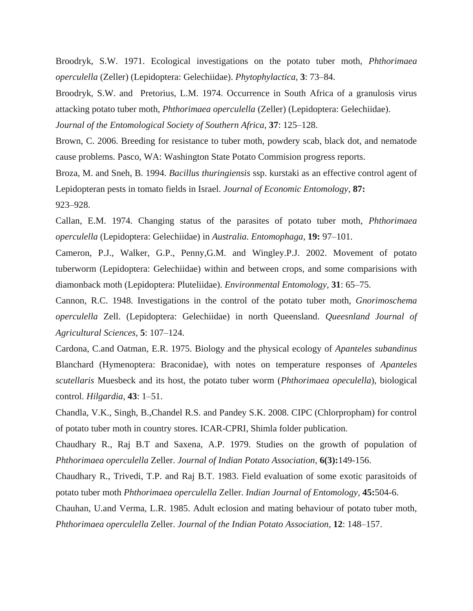Broodryk, S.W. 1971. Ecological investigations on the potato tuber moth, *Phthorimaea operculella* (Zeller) (Lepidoptera: Gelechiidae). *Phytophylactica,* **3**: 73–84.

Broodryk, S.W. and Pretorius, L.M. 1974. Occurrence in South Africa of a granulosis virus attacking potato tuber moth, *Phthorimaea operculella* (Zeller) (Lepidoptera: Gelechiidae).

*Journal of the Entomological Society of Southern Africa,* **37**: 125–128.

Brown, C. 2006. Breeding for resistance to tuber moth, powdery scab, black dot, and nematode cause problems. Pasco, WA: Washington State Potato Commision progress reports.

Broza, M. and Sneh, B. 1994. *Bacillus thuringiensis* ssp. kurstaki as an effective control agent of Lepidopteran pests in tomato fields in Israel. *Journal of Economic Entomology,* **87:** 923–928.

Callan, E.M. 1974. Changing status of the parasites of potato tuber moth, *Phthorimaea operculella* (Lepidoptera: Gelechiidae) in *Australia. Entomophaga,* **19:** 97–101.

Cameron, P.J., Walker, G.P., Penny,G.M. and Wingley.P.J. 2002. Movement of potato tuberworm (Lepidoptera: Gelechiidae) within and between crops, and some comparisions with diamonback moth (Lepidoptera: Pluteliidae). *Environmental Entomology,* **31**: 65–75.

Cannon, R.C. 1948. Investigations in the control of the potato tuber moth, *Gnorimoschema operculella* Zell. (Lepidoptera: Gelechiidae) in north Queensland. *Queesnland Journal of Agricultural Sciences,* **5**: 107–124.

Cardona, C.and Oatman, E.R. 1975. Biology and the physical ecology of *Apanteles subandinus* Blanchard (Hymenoptera: Braconidae), with notes on temperature responses of *Apanteles scutellaris* Muesbeck and its host, the potato tuber worm (*Phthorimaea opeculella*), biological control. *Hilgardia,* **43**: 1–51.

Chandla, V.K., Singh, B.,Chandel R.S. and Pandey S.K. 2008. CIPC (Chlorpropham) for control of potato tuber moth in country stores. ICAR-CPRI, Shimla folder publication.

Chaudhary R., Raj B.T and Saxena, A.P. 1979. Studies on the growth of population of *Phthorimaea operculella* Zeller. *Journal of Indian Potato Association,* **6(3):**149-156.

Chaudhary R., Trivedi, T.P. and Raj B.T. 1983. Field evaluation of some exotic parasitoids of potato tuber moth *Phthorimaea operculella* Zeller. *Indian Journal of Entomology,* **45:**504-6.

Chauhan, U.and Verma, L.R. 1985. Adult eclosion and mating behaviour of potato tuber moth, *Phthorimaea operculella* Zeller. *Journal of the Indian Potato Association,* **12**: 148–157.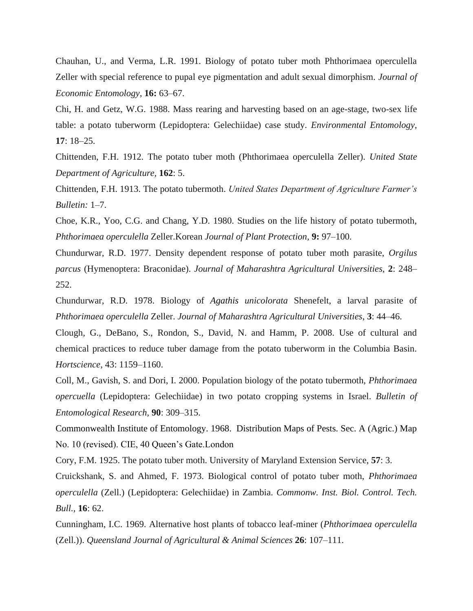Chauhan, U., and Verma, L.R. 1991. Biology of potato tuber moth Phthorimaea operculella Zeller with special reference to pupal eye pigmentation and adult sexual dimorphism. *Journal of Economic Entomology*, **16:** 63–67.

Chi, H. and Getz, W.G. 1988. Mass rearing and harvesting based on an age-stage, two-sex life table: a potato tuberworm (Lepidoptera: Gelechiidae) case study. *Environmental Entomology*, **17**: 18–25.

Chittenden, F.H. 1912. The potato tuber moth (Phthorimaea operculella Zeller). *United State Department of Agriculture,* **162**: 5.

Chittenden, F.H. 1913. The potato tubermoth. *United States Department of Agriculture Farmer's Bulletin:* 1–7.

Choe, K.R., Yoo, C.G. and Chang, Y.D. 1980. Studies on the life history of potato tubermoth, *Phthorimaea operculella* Zeller.Korean *Journal of Plant Protection,* **9:** 97–100.

Chundurwar, R.D. 1977. Density dependent response of potato tuber moth parasite, *Orgilus parcus* (Hymenoptera: Braconidae). *Journal of Maharashtra Agricultural Universities,* **2**: 248– 252.

Chundurwar, R.D. 1978. Biology of *Agathis unicolorata* Shenefelt, a larval parasite of *Phthorimaea operculella* Zeller. *Journal of Maharashtra Agricultural Universities*, **3**: 44–46.

Clough, G., DeBano, S., Rondon, S., David, N. and Hamm, P. 2008. Use of cultural and chemical practices to reduce tuber damage from the potato tuberworm in the Columbia Basin. *Hortscience*, 43: 1159–1160.

Coll, M., Gavish, S. and Dori, I. 2000. Population biology of the potato tubermoth, *Phthorimaea opercuella* (Lepidoptera: Gelechiidae) in two potato cropping systems in Israel. *Bulletin of Entomological Research,* **90**: 309–315.

Commonwealth Institute of Entomology. 1968. Distribution Maps of Pests. Sec. A (Agric.) Map No. 10 (revised). CIE, 40 Queen's Gate.London

Cory, F.M. 1925. The potato tuber moth. University of Maryland Extension Service, **57**: 3.

Cruickshank, S. and Ahmed, F. 1973. Biological control of potato tuber moth, *Phthorimaea operculella* (Zell.) (Lepidoptera: Gelechiidae) in Zambia. *Commonw. Inst. Biol. Control. Tech. Bull.,* **16**: 62.

Cunningham, I.C. 1969. Alternative host plants of tobacco leaf-miner (*Phthorimaea operculella* (Zell.)). *Queensland Journal of Agricultural & Animal Sciences* **26**: 107–111.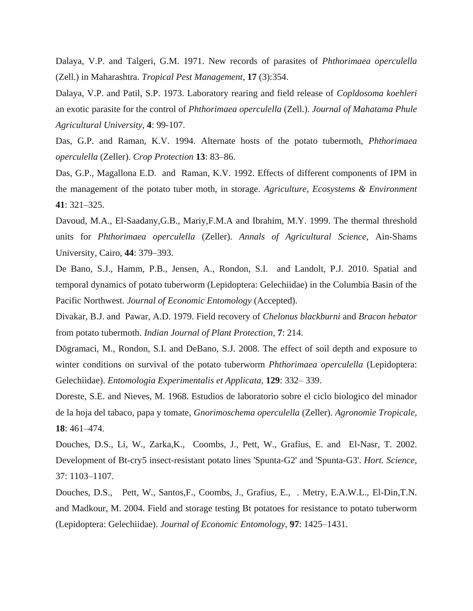Dalaya, V.P. and Talgeri, G.M. 1971. New records of parasites of *Phthorimaea operculella* (Zell.) in Maharashtra. *Tropical Pest Management*, **17** (3):354.

Dalaya, V.P. and Patil, S.P. 1973. Laboratory rearing and field release of *Copldosoma koehleri* an exotic parasite for the control of *Phthorimaea operculella* (Zell.). *Journal of Mahatama Phule Agricultural University*, **4**: 99-107.

Das, G.P. and Raman, K.V. 1994. Alternate hosts of the potato tubermoth, *Phthorimaea operculella* (Zeller). *Crop Protection* **13**: 83–86.

Das, G.P., Magallona E.D. and Raman, K.V. 1992. Effects of different components of IPM in the management of the potato tuber moth, in storage. *Agriculture, Ecosystems & Environment* **41**: 321–325.

Davoud, M.A., El-Saadany,G.B., Mariy,F.M.A and Ibrahim, M.Y. 1999. The thermal threshold units for *Phthorimaea operculella* (Zeller). *Annals of Agricultural Science,* Ain-Shams University, Cairo, **44**: 379–393.

De Bano, S.J., Hamm, P.B., Jensen, A., Rondon, S.I. and Landolt, P.J. 2010. Spatial and temporal dynamics of potato tuberworm (Lepidoptera: Gelechiidae) in the Columbia Basin of the Pacific Northwest. *Journal of Economic Entomology* (Accepted).

Divakar, B.J. and Pawar, A.D. 1979. Field recovery of *Chelonus blackburni* and *Bracon hebator* from potato tubermoth. *Indian Journal of Plant Protection,* **7**: 214.

Dŏgramaci, M., Rondon, S.I. and DeBano, S.J. 2008. The effect of soil depth and exposure to winter conditions on survival of the potato tuberworm *Phthorimaea operculella* (Lepidoptera: Gelechiidae). *Entomologia Experimentalis et Applicata,* **129**: 332– 339.

Doreste, S.E. and Nieves, M. 1968. Estudios de laboratorio sobre el ciclo biologico del minador de la hoja del tabaco, papa y tomate, *Gnorimoschema operculella* (Zeller). *Agronomie Tropicale,* **18**: 461–474.

Douches, D.S., Li, W., Zarka,K., Coombs, J., Pett, W., Grafius, E. and El-Nasr, T. 2002. Development of Bt-cry5 insect-resistant potato lines 'Spunta-G2' and 'Spunta-G3'. *Hort. Science,*  37: 1103–1107.

Douches, D.S., Pett, W., Santos,F., Coombs, J., Grafius, E., . Metry, E.A.W.L., El-Din,T.N. and Madkour, M. 2004. Field and storage testing Bt potatoes for resistance to potato tuberworm (Lepidoptera: Gelechiidae). *Journal of Economic Entomology,* **97**: 1425–1431.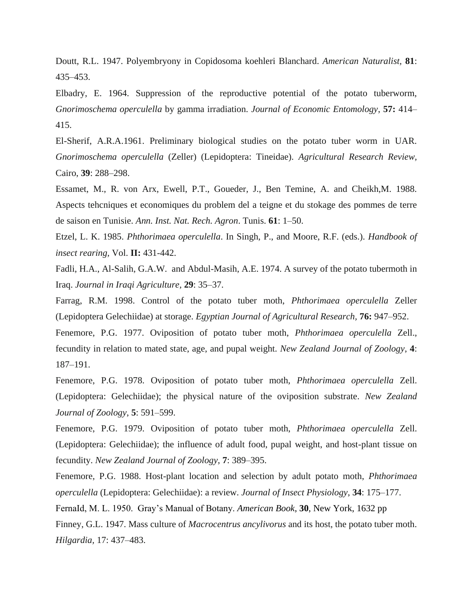Doutt, R.L. 1947. Polyembryony in Copidosoma koehleri Blanchard. *American Naturalist,* **81**: 435–453.

Elbadry, E. 1964. Suppression of the reproductive potential of the potato tuberworm, *Gnorimoschema operculella* by gamma irradiation. *Journal of Economic Entomology*, **57:** 414– 415.

El-Sherif, A.R.A.1961. Preliminary biological studies on the potato tuber worm in UAR. *Gnorimoschema operculella* (Zeller) (Lepidoptera: Tineidae). *Agricultural Research Review,* Cairo, **39**: 288–298.

Essamet, M., R. von Arx, Ewell, P.T., Goueder, J., Ben Temine, A. and Cheikh,M. 1988. Aspects tehcniques et economiques du problem del a teigne et du stokage des pommes de terre de saison en Tunisie. *Ann. Inst. Nat. Rech. Agron*. Tunis. **61**: 1–50.

Etzel, L. K. 1985. *Phthorimaea operculella*. In Singh, P., and Moore, R.F. (eds.). *Handbook of insect rearing,* Vol. **II:** 431-442.

Fadli, H.A., Al-Salih, G.A.W. and Abdul-Masih, A.E. 1974. A survey of the potato tubermoth in Iraq. *Journal in Iraqi Agriculture,* **29**: 35–37.

Farrag, R.M. 1998. Control of the potato tuber moth, *Phthorimaea operculella* Zeller (Lepidoptera Gelechiidae) at storage. *Egyptian Journal of Agricultural Research,* **76:** 947–952. Fenemore, P.G. 1977. Oviposition of potato tuber moth, *Phthorimaea operculella* Zell., fecundity in relation to mated state, age, and pupal weight. *New Zealand Journal of Zoology*, **4**: 187–191.

Fenemore, P.G. 1978. Oviposition of potato tuber moth, *Phthorimaea operculella* Zell. (Lepidoptera: Gelechiidae); the physical nature of the oviposition substrate. *New Zealand Journal of Zoology*, **5**: 591–599.

Fenemore, P.G. 1979. Oviposition of potato tuber moth, *Phthorimaea operculella* Zell. (Lepidoptera: Gelechiidae); the influence of adult food, pupal weight, and host-plant tissue on fecundity. *New Zealand Journal of Zoology*, **7**: 389–395.

Fenemore, P.G. 1988. Host-plant location and selection by adult potato moth, *Phthorimaea operculella* (Lepidoptera: Gelechiidae): a review. *Journal of Insect Physiology*, **34**: 175–177.

FernaId, M. L. 1950. Gray's Manual of Botany. *American Book*, **30**, New York, 1632 pp Finney, G.L. 1947. Mass culture of *Macrocentrus ancylivorus* and its host, the potato tuber moth. *Hilgardia,* 17: 437–483.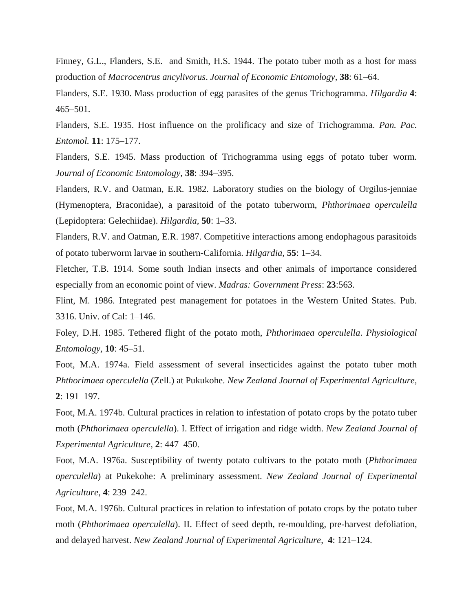Finney, G.L., Flanders, S.E. and Smith, H.S. 1944. The potato tuber moth as a host for mass production of *Macrocentrus ancylivorus*. *Journal of Economic Entomology*, **38**: 61–64.

Flanders, S.E. 1930. Mass production of egg parasites of the genus Trichogramma. *Hilgardia* **4**: 465–501.

Flanders, S.E. 1935. Host influence on the prolificacy and size of Trichogramma. *Pan. Pac. Entomol.* **11**: 175–177.

Flanders, S.E. 1945. Mass production of Trichogramma using eggs of potato tuber worm. *Journal of Economic Entomology,* **38**: 394–395.

Flanders, R.V. and Oatman, E.R. 1982. Laboratory studies on the biology of Orgilus-jenniae (Hymenoptera, Braconidae), a parasitoid of the potato tuberworm, *Phthorimaea operculella* (Lepidoptera: Gelechiidae). *Hilgardia,* **50**: 1–33.

Flanders, R.V. and Oatman, E.R. 1987. Competitive interactions among endophagous parasitoids of potato tuberworm larvae in southern-California. *Hilgardia,* **55**: 1–34.

Fletcher, T.B. 1914. Some south Indian insects and other animals of importance considered especially from an economic point of view. *Madras: Government Press*: **23**:563.

Flint, M. 1986. Integrated pest management for potatoes in the Western United States. Pub. 3316. Univ. of Cal: 1–146.

Foley, D.H. 1985. Tethered flight of the potato moth, *Phthorimaea operculella*. *Physiological Entomology,* **10**: 45–51.

Foot, M.A. 1974a. Field assessment of several insecticides against the potato tuber moth *Phthorimaea operculella* (Zell.) at Pukukohe. *New Zealand Journal of Experimental Agriculture,*  **2**: 191–197.

Foot, M.A. 1974b. Cultural practices in relation to infestation of potato crops by the potato tuber moth (*Phthorimaea operculella*). I. Effect of irrigation and ridge width. *New Zealand Journal of Experimental Agriculture*, **2**: 447–450.

Foot, M.A. 1976a. Susceptibility of twenty potato cultivars to the potato moth (*Phthorimaea operculella*) at Pukekohe: A preliminary assessment. *New Zealand Journal of Experimental Agriculture*, **4**: 239–242.

Foot, M.A. 1976b. Cultural practices in relation to infestation of potato crops by the potato tuber moth (*Phthorimaea operculella*). II. Effect of seed depth, re-moulding, pre-harvest defoliation, and delayed harvest. *New Zealand Journal of Experimental Agriculture*, **4**: 121–124.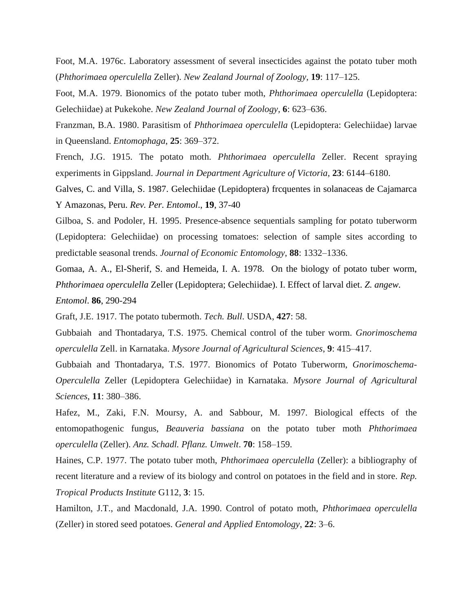Foot, M.A. 1976c. Laboratory assessment of several insecticides against the potato tuber moth (*Phthorimaea operculella* Zeller). *New Zealand Journal of Zoology,* **19**: 117–125.

Foot, M.A. 1979. Bionomics of the potato tuber moth, *Phthorimaea operculella* (Lepidoptera: Gelechiidae) at Pukekohe. *New Zealand Journal of Zoology,* **6**: 623–636.

Franzman, B.A. 1980. Parasitism of *Phthorimaea operculella* (Lepidoptera: Gelechiidae) larvae in Queensland. *Entomophaga*, **25**: 369–372.

French, J.G. 1915. The potato moth. *Phthorimaea operculella* Zeller. Recent spraying experiments in Gippsland. *Journal in Department Agriculture of Victoria*, **23**: 6144–6180.

Galves, C. and Villa, S. 1987. Gelechiidae (Lepidoptera) frcquentes in solanaceas de Cajamarca Y Amazonas, Peru. *Rev. Per. Entomol*., **19**, 37-40

Gilboa, S. and Podoler, H. 1995. Presence-absence sequentials sampling for potato tuberworm (Lepidoptera: Gelechiidae) on processing tomatoes: selection of sample sites according to predictable seasonal trends. *Journal of Economic Entomology*, **88**: 1332–1336.

Gomaa, A. A., El-Sherif, S. and Hemeida, I. A. 1978. On the biology of potato tuber worm, *Phthorimaea operculella* Zeller (Lepidoptera; Gelechiidae). I. Effect of larval diet. *Z. angew. Entomol*. **86**, 290-294

Graft, J.E. 1917. The potato tubermoth. *Tech. Bull*. USDA, **427**: 58.

Gubbaiah and Thontadarya, T.S. 1975. Chemical control of the tuber worm. *Gnorimoschema operculella* Zell. in Karnataka. *Mysore Journal of Agricultural Sciences*, **9**: 415–417.

Gubbaiah and Thontadarya, T.S. 1977. Bionomics of Potato Tuberworm, *Gnorimoschema-Operculella* Zeller (Lepidoptera Gelechiidae) in Karnataka. *Mysore Journal of Agricultural Sciences*, **11**: 380–386.

Hafez, M., Zaki, F.N. Moursy, A. and Sabbour, M. 1997. Biological effects of the entomopathogenic fungus, *Beauveria bassiana* on the potato tuber moth *Phthorimaea operculella* (Zeller). *Anz. Schadl. Pflanz. Umwelt*. **70**: 158–159.

Haines, C.P. 1977. The potato tuber moth, *Phthorimaea operculella* (Zeller): a bibliography of recent literature and a review of its biology and control on potatoes in the field and in store. *Rep. Tropical Products Institute* G112, **3**: 15.

Hamilton, J.T., and Macdonald, J.A. 1990. Control of potato moth, *Phthorimaea operculella* (Zeller) in stored seed potatoes. *General and Applied Entomology*, **22**: 3–6.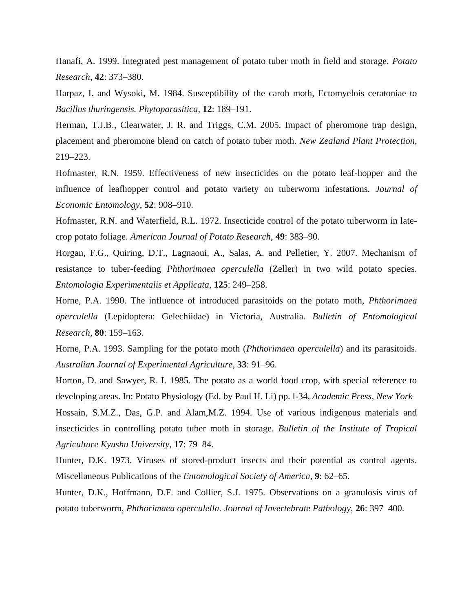Hanafi, A. 1999. Integrated pest management of potato tuber moth in field and storage. *Potato Research*, **42**: 373–380.

Harpaz, I. and Wysoki, M. 1984. Susceptibility of the carob moth, Ectomyelois ceratoniae to *Bacillus thuringensis. Phytoparasitica,* **12**: 189–191.

Herman, T.J.B., Clearwater, J. R. and Triggs, C.M. 2005. Impact of pheromone trap design, placement and pheromone blend on catch of potato tuber moth. *New Zealand Plant Protection*, 219–223.

Hofmaster, R.N. 1959. Effectiveness of new insecticides on the potato leaf-hopper and the influence of leafhopper control and potato variety on tuberworm infestations. *Journal of Economic Entomology*, **52**: 908–910.

Hofmaster, R.N. and Waterfield, R.L. 1972. Insecticide control of the potato tuberworm in latecrop potato foliage. *American Journal of Potato Research*, **49**: 383–90.

Horgan, F.G., Quiring, D.T., Lagnaoui, A., Salas, A. and Pelletier, Y. 2007. Mechanism of resistance to tuber-feeding *Phthorimaea operculella* (Zeller) in two wild potato species. *Entomologia Experimentalis et Applicata*, **125**: 249–258.

Horne, P.A. 1990. The influence of introduced parasitoids on the potato moth, *Phthorimaea operculella* (Lepidoptera: Gelechiidae) in Victoria, Australia. *Bulletin of Entomological Research,* **80**: 159–163.

Horne, P.A. 1993. Sampling for the potato moth (*Phthorimaea operculella*) and its parasitoids. *Australian Journal of Experimental Agriculture*, **33**: 91–96.

Horton, D. and Sawyer, R. I. 1985. The potato as a world food crop, with special reference to developing areas. In: Potato Physiology (Ed. by Paul H. Li) pp. l-34, *Academic Press, New York* Hossain, S.M.Z., Das, G.P. and Alam,M.Z. 1994. Use of various indigenous materials and insecticides in controlling potato tuber moth in storage. *Bulletin of the Institute of Tropical Agriculture Kyushu University*, **17**: 79–84.

Hunter, D.K. 1973. Viruses of stored-product insects and their potential as control agents. Miscellaneous Publications of the *Entomological Society of America*, **9**: 62–65.

Hunter, D.K., Hoffmann, D.F. and Collier, S.J. 1975. Observations on a granulosis virus of potato tuberworm, *Phthorimaea operculella. Journal of Invertebrate Pathology,* **26**: 397–400.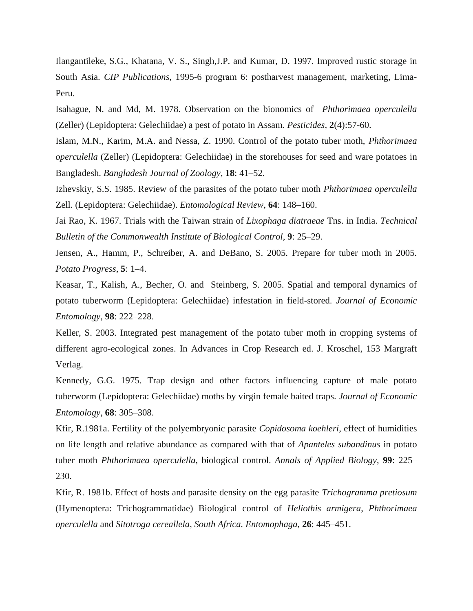Ilangantileke, S.G., Khatana, V. S., Singh,J.P. and Kumar, D. 1997. Improved rustic storage in South Asia. *CIP Publications*, 1995-6 program 6: postharvest management, marketing, Lima-Peru.

Isahague, N. and Md, M. 1978. Observation on the bionomics of *Phthorimaea operculella* (Zeller) (Lepidoptera: Gelechiidae) a pest of potato in Assam. *Pesticides,* **2**(4):57-60.

Islam, M.N., Karim, M.A. and Nessa, Z. 1990. Control of the potato tuber moth, *Phthorimaea operculella* (Zeller) (Lepidoptera: Gelechiidae) in the storehouses for seed and ware potatoes in Bangladesh. *Bangladesh Journal of Zoology*, **18**: 41–52.

Izhevskiy, S.S. 1985. Review of the parasites of the potato tuber moth *Phthorimaea operculella* Zell. (Lepidoptera: Gelechiidae). *Entomological Review*, **64**: 148–160.

Jai Rao, K. 1967. Trials with the Taiwan strain of *Lixophaga diatraeae* Tns. in India. *Technical Bulletin of the Commonwealth Institute of Biological Control*, **9**: 25–29.

Jensen, A., Hamm, P., Schreiber, A. and DeBano, S. 2005. Prepare for tuber moth in 2005. *Potato Progress*, **5**: 1–4.

Keasar, T., Kalish, A., Becher, O. and Steinberg, S. 2005. Spatial and temporal dynamics of potato tuberworm (Lepidoptera: Gelechiidae) infestation in field-stored. *Journal of Economic Entomology*, **98**: 222–228.

Keller, S. 2003. Integrated pest management of the potato tuber moth in cropping systems of different agro-ecological zones. In Advances in Crop Research ed. J. Kroschel, 153 Margraft Verlag.

Kennedy, G.G. 1975. Trap design and other factors influencing capture of male potato tuberworm (Lepidoptera: Gelechiidae) moths by virgin female baited traps. *Journal of Economic Entomology*, **68**: 305–308.

Kfir, R.1981a. Fertility of the polyembryonic parasite *Copidosoma koehleri*, effect of humidities on life length and relative abundance as compared with that of *Apanteles subandinus* in potato tuber moth *Phthorimaea operculella*, biological control. *Annals of Applied Biology*, **99**: 225– 230.

Kfir, R. 1981b. Effect of hosts and parasite density on the egg parasite *Trichogramma pretiosum* (Hymenoptera: Trichogrammatidae) Biological control of *Heliothis armigera*, *Phthorimaea operculella* and *Sitotroga cereallela*, *South Africa. Entomophaga*, **26**: 445–451.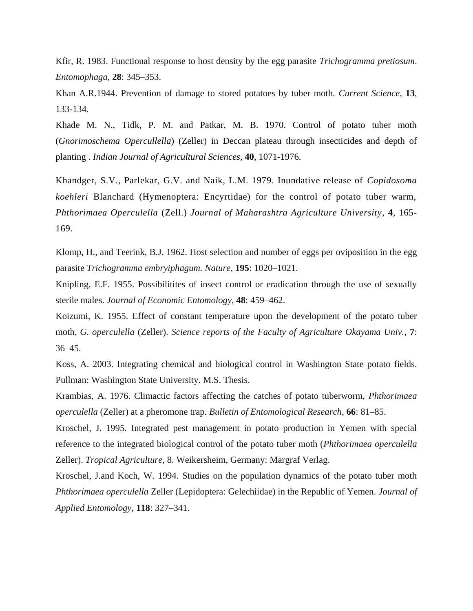Kfir, R. 1983. Functional response to host density by the egg parasite *Trichogramma pretiosum*. *Entomophaga*, **28**: 345–353.

Khan A.R.1944. Prevention of damage to stored potatoes by tuber moth. *Current Science*, **13**, 133-134.

Khade M. N., Tidk, P. M. and Patkar, M. B. 1970. Control of potato tuber moth (*Gnorimoschema Opercullella*) (Zeller) in Deccan plateau through insecticides and depth of planting . *Indian Journal of Agricultural Sciences*, **40**, 1071-1976.

Khandger, S.V., Parlekar, G.V. and Naik, L.M. 1979. Inundative release of *Copidosoma koehleri* Blanchard (Hymenoptera: Encyrtidae) for the control of potato tuber warm, *Phthorimaea Operculella* (Zell.) *Journal of Maharashtra Agriculture University*, **4**, 165- 169.

Klomp, H., and Teerink, B.J. 1962. Host selection and number of eggs per oviposition in the egg parasite *Trichogramma embryiphagum. Nature,* **195**: 1020–1021.

Knipling, E.F. 1955. Possibilitites of insect control or eradication through the use of sexually sterile males. *Journal of Economic Entomology*, **48**: 459–462.

Koizumi, K. 1955. Effect of constant temperature upon the development of the potato tuber moth, *G. operculella* (Zeller). *Science reports of the Faculty of Agriculture Okayama Univ.,* **7**: 36–45.

Koss, A. 2003. Integrating chemical and biological control in Washington State potato fields. Pullman: Washington State University. M.S. Thesis.

Krambias, A. 1976. Climactic factors affecting the catches of potato tuberworm, *Phthorimaea operculella* (Zeller) at a pheromone trap. *Bulletin of Entomological Research*, **66**: 81–85.

Kroschel, J. 1995. Integrated pest management in potato production in Yemen with special reference to the integrated biological control of the potato tuber moth (*Phthorimaea operculella* Zeller). *Tropical Agriculture*, 8. Weikersheim, Germany: Margraf Verlag.

Kroschel, J.and Koch, W. 1994. Studies on the population dynamics of the potato tuber moth *Phthorimaea operculella* Zeller (Lepidoptera: Gelechiidae) in the Republic of Yemen. *Journal of Applied Entomology*, **118**: 327–341.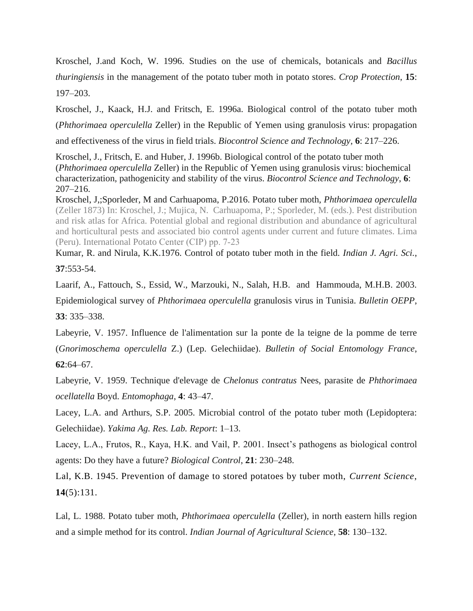Kroschel, J.and Koch, W. 1996. Studies on the use of chemicals, botanicals and *Bacillus thuringiensis* in the management of the potato tuber moth in potato stores. *Crop Protection*, **15**: 197–203.

Kroschel, J., Kaack, H.J. and Fritsch, E. 1996a. Biological control of the potato tuber moth (*Phthorimaea operculella* Zeller) in the Republic of Yemen using granulosis virus: propagation

and effectiveness of the virus in field trials. *Biocontrol Science and Technology*, **6**: 217–226.

Kroschel, J., Fritsch, E. and Huber, J. 1996b. Biological control of the potato tuber moth (*Phthorimaea operculella* Zeller) in the Republic of Yemen using granulosis virus: biochemical characterization, pathogenicity and stability of the virus. *Biocontrol Science and Technology*, **6**: 207–216.

Kroschel, J,;Sporleder, M and Carhuapoma, P.2016. Potato tuber moth, *Phthorimaea operculella* (Zeller 1873) In: Kroschel, J.; Mujica, N. Carhuapoma, P.; Sporleder, M. (eds.). Pest distribution and risk atlas for Africa. Potential global and regional distribution and abundance of agricultural and horticultural pests and associated bio control agents under current and future climates. Lima (Peru). International Potato Center (CIP) pp. 7‐23

Kumar, R. and Nirula, K.K.1976. Control of potato tuber moth in the field. *Indian J. Agri. Sci.*, **37**:553-54.

Laarif, A., Fattouch, S., Essid, W., Marzouki, N., Salah, H.B. and Hammouda, M.H.B. 2003. Epidemiological survey of *Phthorimaea operculella* granulosis virus in Tunisia. *Bulletin OEPP*, **33**: 335–338.

Labeyrie, V. 1957. Influence de l'alimentation sur la ponte de la teigne de la pomme de terre (*Gnorimoschema operculella* Z.) (Lep. Gelechiidae). *Bulletin of Social Entomology France*, **62**:64–67.

Labeyrie, V. 1959. Technique d'elevage de *Chelonus contratus* Nees, parasite de *Phthorimaea ocellatella* Boyd. *Entomophaga*, **4**: 43–47.

Lacey, L.A. and Arthurs, S.P. 2005. Microbial control of the potato tuber moth (Lepidoptera: Gelechiidae). *Yakima Ag. Res. Lab. Report*: 1–13.

Lacey, L.A., Frutos, R., Kaya, H.K. and Vail, P. 2001. Insect's pathogens as biological control agents: Do they have a future? *Biological Control*, **21**: 230–248.

Lal, K.B. 1945. Prevention of damage to stored potatoes by tuber moth, *Current Science*, **14**(5):131.

Lal, L. 1988. Potato tuber moth, *Phthorimaea operculella* (Zeller), in north eastern hills region and a simple method for its control. *Indian Journal of Agricultural Science*, **58**: 130–132.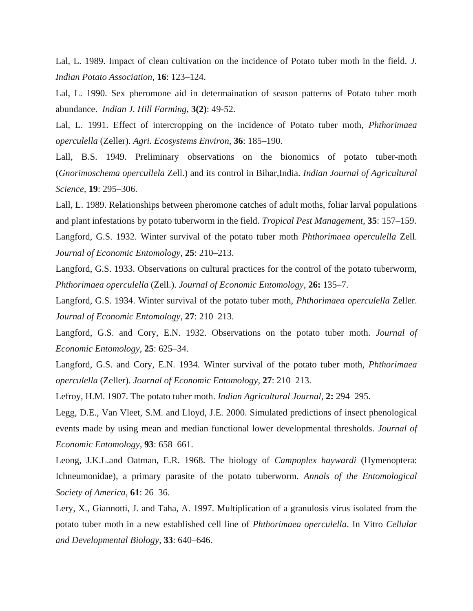Lal, L. 1989. Impact of clean cultivation on the incidence of Potato tuber moth in the field. *J. Indian Potato Association*, **16**: 123–124.

Lal, L. 1990. Sex pheromone aid in determaination of season patterns of Potato tuber moth abundance. *Indian J. Hill Farming*, **3(2)**: 49-52.

Lal, L. 1991. Effect of intercropping on the incidence of Potato tuber moth, *Phthorimaea operculella* (Zeller). *Agri. Ecosystems Environ*, **36**: 185–190.

Lall, B.S. 1949. Preliminary observations on the bionomics of potato tuber-moth (*Gnorimoschema opercullela* Zell.) and its control in Bihar,India. *Indian Journal of Agricultural Science,* **19**: 295–306.

Lall, L. 1989. Relationships between pheromone catches of adult moths, foliar larval populations and plant infestations by potato tuberworm in the field. *Tropical Pest Management*, **35**: 157–159.

Langford, G.S. 1932. Winter survival of the potato tuber moth *Phthorimaea operculella* Zell. *Journal of Economic Entomology*, **25**: 210–213.

Langford, G.S. 1933. Observations on cultural practices for the control of the potato tuberworm, *Phthorimaea operculella* (Zell.). *Journal of Economic Entomology*, **26:** 135–7.

Langford, G.S. 1934. Winter survival of the potato tuber moth, *Phthorimaea operculella* Zeller. *Journal of Economic Entomology*, **27**: 210–213.

Langford, G.S. and Cory, E.N. 1932. Observations on the potato tuber moth. *Journal of Economic Entomology*, **25**: 625–34.

Langford, G.S. and Cory, E.N. 1934. Winter survival of the potato tuber moth, *Phthorimaea operculella* (Zeller). *Journal of Economic Entomology*, **27**: 210–213.

Lefroy, H.M. 1907. The potato tuber moth. *Indian Agricultural Journal*, **2:** 294–295.

Legg, D.E., Van Vleet, S.M. and Lloyd, J.E. 2000. Simulated predictions of insect phenological events made by using mean and median functional lower developmental thresholds. *Journal of Economic Entomology*, **93**: 658–661.

Leong, J.K.L.and Oatman, E.R. 1968. The biology of *Campoplex haywardi* (Hymenoptera: Ichneumonidae), a primary parasite of the potato tuberworm. *Annals of the Entomological Society of America*, **61**: 26–36.

Lery, X., Giannotti, J. and Taha, A. 1997. Multiplication of a granulosis virus isolated from the potato tuber moth in a new established cell line of *Phthorimaea operculella*. In Vitro *Cellular and Developmental Biology,* **33**: 640–646.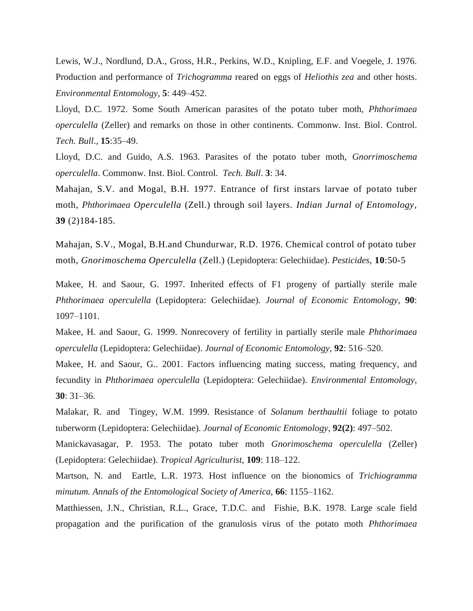Lewis, W.J., Nordlund, D.A., Gross, H.R., Perkins, W.D., Knipling, E.F. and Voegele, J. 1976. Production and performance of *Trichogramma* reared on eggs of *Heliothis zea* and other hosts. *Environmental Entomology*, **5**: 449–452.

Lloyd, D.C. 1972. Some South American parasites of the potato tuber moth, *Phthorimaea operculella* (Zeller) and remarks on those in other continents. Commonw. Inst. Biol. Control. *Tech. Bull*., **15**:35–49.

Lloyd, D.C. and Guido, A.S. 1963. Parasites of the potato tuber moth, *Gnorrimoschema operculella*. Commonw. Inst. Biol. Control. *Tech. Bull*. **3**: 34.

Mahajan, S.V. and Mogal, B.H. 1977. Entrance of first instars larvae of potato tuber moth, *Phthorimaea Operculella* (Zell.) through soil layers. *Indian Jurnal of Entomology*, **39** (2)184-185.

Mahajan, S.V., Mogal, B.H.and Chundurwar, R.D. 1976. Chemical control of potato tuber moth, *Gnorimoschema Operculella* (Zell.) (Lepidoptera: Gelechiidae). *Pesticides*, **10**:50-5

Makee, H. and Saour, G. 1997. Inherited effects of F1 progeny of partially sterile male *Phthorimaea operculella* (Lepidoptera: Gelechiidae). *Journal of Economic Entomology*, **90**: 1097–1101.

Makee, H. and Saour, G. 1999. Nonrecovery of fertility in partially sterile male *Phthorimaea operculella* (Lepidoptera: Gelechiidae). *Journal of Economic Entomology*, **92**: 516–520.

Makee, H. and Saour, G.. 2001. Factors influencing mating success, mating frequency, and fecundity in *Phthorimaea operculella* (Lepidoptera: Gelechiidae). *Environmental Entomology*, **30**: 31–36.

Malakar, R. and Tingey, W.M. 1999. Resistance of *Solanum berthaultii* foliage to potato tuberworm (Lepidoptera: Gelechiidae). *Journal of Economic Entomology*, **92(2)**: 497–502.

Manickavasagar, P. 1953. The potato tuber moth *Gnorimoschema operculella* (Zeller) (Lepidoptera: Gelechiidae). *Tropical Agriculturist*, **109**: 118–122.

Martson, N. and Eartle, L.R. 1973. Host influence on the bionomics of *Trichiogramma minutum. Annals of the Entomological Society of America,* **66**: 1155–1162.

Matthiessen, J.N., Christian, R.L., Grace, T.D.C. and Fishie, B.K. 1978. Large scale field propagation and the purification of the granulosis virus of the potato moth *Phthorimaea*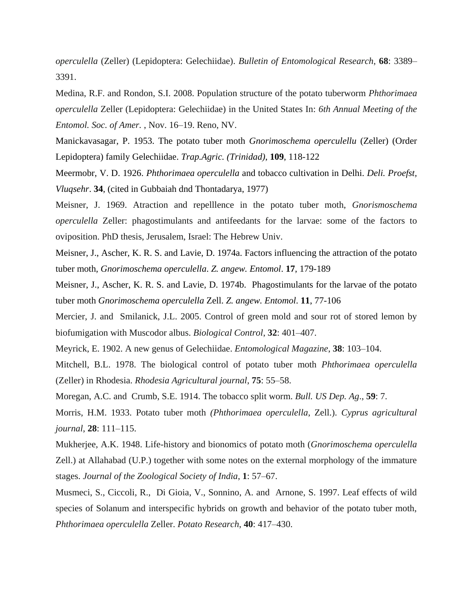*operculella* (Zeller) (Lepidoptera: Gelechiidae). *Bulletin of Entomological Research*, **68**: 3389– 3391.

Medina, R.F. and Rondon, S.I. 2008. Population structure of the potato tuberworm *Phthorimaea operculella* Zeller (Lepidoptera: Gelechiidae) in the United States In: *6th Annual Meeting of the Entomol. Soc. of Amer.* , Nov. 16–19. Reno, NV.

Manickavasagar, P. 1953. The potato tuber moth *Gnorimoschema operculellu* (Zeller) (Order Lepidoptera) family Gelechiidae. *Trap.Agric. (Trinidad)*, **109**, 118-122

Meermobr, V. D. 1926. *Phthorimaea operculella* and tobacco cultivation in Delhi. *Deli. Proefst, Vluqsehr*. **34**, (cited in Gubbaiah dnd Thontadarya, 1977)

Meisner, J. 1969. Atraction and repelllence in the potato tuber moth, *Gnorismoschema operculella* Zeller: phagostimulants and antifeedants for the larvae: some of the factors to oviposition. PhD thesis, Jerusalem, Israel: The Hebrew Univ.

Meisner, J., Ascher, K. R. S. and Lavie, D. 1974a. Factors influencing the attraction of the potato tuber moth, *Gnorimoschema operculella*. *Z. angew. Entomol*. **17**, 179-189

Meisner, J., Ascher, K. R. S. and Lavie, D. 1974b. Phagostimulants for the larvae of the potato tuber moth *Gnorimoschema operculella* Zell. *Z. angew. Entomol*. **11**, 77-106

Mercier, J. and Smilanick, J.L. 2005. Control of green mold and sour rot of stored lemon by biofumigation with Muscodor albus. *Biological Control*, **32**: 401–407.

Meyrick, E. 1902. A new genus of Gelechiidae. *Entomological Magazine*, **38**: 103–104.

Mitchell, B.L. 1978. The biological control of potato tuber moth *Phthorimaea operculella* (Zeller) in Rhodesia. *Rhodesia Agricultural journal*, **75**: 55–58.

Moregan, A.C. and Crumb, S.E. 1914. The tobacco split worm. *Bull. US Dep. Ag*., **59**: 7.

Morris, H.M. 1933. Potato tuber moth *(Phthorimaea operculella*, Zell.). *Cyprus agricultural journal*, **28**: 111–115.

Mukherjee, A.K. 1948. Life-history and bionomics of potato moth (*Gnorimoschema operculella* Zell.) at Allahabad (U.P.) together with some notes on the external morphology of the immature stages. *Journal of the Zoological Society of India*, **1**: 57–67.

Musmeci, S., Ciccoli, R., Di Gioia, V., Sonnino, A. and Arnone, S. 1997. Leaf effects of wild species of Solanum and interspecific hybrids on growth and behavior of the potato tuber moth, *Phthorimaea operculella* Zeller. *Potato Research*, **40**: 417–430.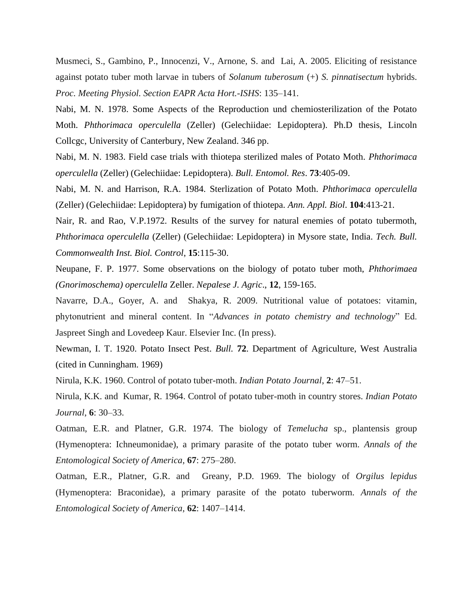Musmeci, S., Gambino, P., Innocenzi, V., Arnone, S. and Lai, A. 2005. Eliciting of resistance against potato tuber moth larvae in tubers of *Solanum tuberosum* (+) *S. pinnatisectum* hybrids. *Proc. Meeting Physiol. Section EAPR Acta Hort.-ISHS*: 135–141.

Nabi, M. N. 1978. Some Aspects of the Reproduction und chemiosterilization of the Potato Moth. *Phthorimaca operculella* (Zeller) (Gelechiidae: Lepidoptera). Ph.D thesis, Lincoln Collcgc, University of Canterbury, New Zealand. 346 pp.

Nabi, M. N. 1983. Field case trials with thiotepa sterilized males of Potato Moth. *Phthorimaca operculella* (Zeller) (Gelechiidae: Lepidoptera). *Bull. Entomol. Res*. **73**:405-09.

Nabi, M. N. and Harrison, R.A. 1984. Sterlization of Potato Moth. *Phthorimaca operculella* (Zeller) (Gelechiidae: Lepidoptera) by fumigation of thiotepa. *Ann. Appl. Biol*. **104**:413-21.

Nair, R. and Rao, V.P.1972. Results of the survey for natural enemies of potato tubermoth, *Phthorimaca operculella* (Zeller) (Gelechiidae: Lepidoptera) in Mysore state, India. *Tech. Bull. Commonwealth Inst. Biol. Control*, **15**:115-30.

Neupane, F. P. 1977. Some observations on the biology of potato tuber moth, *Phthorimaea (Gnorimoschema) operculella* Zeller. *Nepalese J. Agric*., **12**, 159-165.

Navarre, D.A., Goyer, A. and Shakya, R. 2009. Nutritional value of potatoes: vitamin, phytonutrient and mineral content. In "*Advances in potato chemistry and technology*" Ed. Jaspreet Singh and Lovedeep Kaur. Elsevier Inc. (In press).

Newman, I. T. 1920. Potato Insect Pest. *Bull.* **72**. Department of Agriculture, West Australia (cited in Cunningham. 1969)

Nirula, K.K. 1960. Control of potato tuber-moth. *Indian Potato Journal*, **2**: 47–51.

Nirula, K.K. and Kumar, R. 1964. Control of potato tuber-moth in country stores. *Indian Potato Journal*, **6**: 30–33.

Oatman, E.R. and Platner, G.R. 1974. The biology of *Temelucha* sp., plantensis group (Hymenoptera: Ichneumonidae), a primary parasite of the potato tuber worm. *Annals of the Entomological Society of America*, **67**: 275–280.

Oatman, E.R., Platner, G.R. and Greany, P.D. 1969. The biology of *Orgilus lepidus* (Hymenoptera: Braconidae), a primary parasite of the potato tuberworm. *Annals of the Entomological Society of America*, **62**: 1407–1414.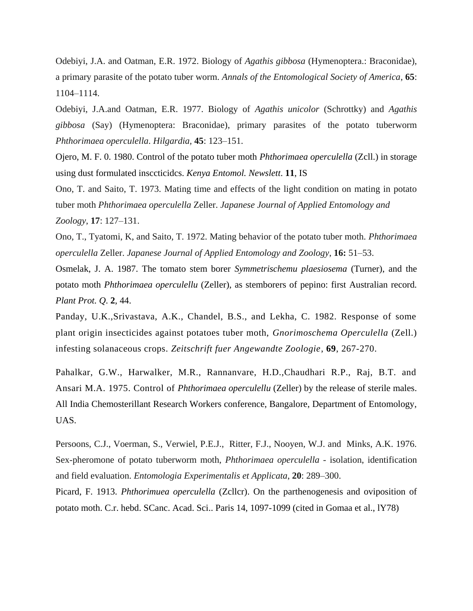Odebiyi, J.A. and Oatman, E.R. 1972. Biology of *Agathis gibbosa* (Hymenoptera.: Braconidae), a primary parasite of the potato tuber worm. *Annals of the Entomological Society of America*, **65**: 1104–1114.

Odebiyi, J.A.and Oatman, E.R. 1977. Biology of *Agathis unicolor* (Schrottky) and *Agathis gibbosa* (Say) (Hymenoptera: Braconidae), primary parasites of the potato tuberworm *Phthorimaea operculella*. *Hilgardia,* **45**: 123–151.

Ojero, M. F. 0. 1980. Control of the potato tuber moth *Phthorimaea operculella* (Zcll.) in storage using dust formulated insccticidcs. *Kenya Entomol. Newslett*. **11**, IS

Ono, T. and Saito, T. 1973. Mating time and effects of the light condition on mating in potato tuber moth *Phthorimaea operculella* Zeller. *Japanese Journal of Applied Entomology and Zoology*, **17**: 127–131.

Ono, T., Tyatomi, K, and Saito, T. 1972. Mating behavior of the potato tuber moth. *Phthorimaea operculella* Zeller. *Japanese Journal of Applied Entomology and Zoology*, **16:** 51–53.

Osmelak, J. A. 1987. The tomato stem borer *Symmetrischemu plaesiosema* (Turner), and the potato moth *Phthorimaea operculellu* (Zeller), as stemborers of pepino: first Australian record*. Plant Prot. Q*. **2**, 44.

Panday, U.K.,Srivastava, A.K., Chandel, B.S., and Lekha, C. 1982. Response of some plant origin insecticides against potatoes tuber moth, *Gnorimoschema Operculella* (Zell.) infesting solanaceous crops. *Zeitschrift fuer Angewandte Zoologie*, **69**, 267-270.

Pahalkar, G.W., Harwalker, M.R., Rannanvare, H.D.,Chaudhari R.P., Raj, B.T. and Ansari M.A. 1975. Control of *Phthorimaea operculellu* (Zeller) by the release of sterile males. All India Chemosterillant Research Workers conference, Bangalore, Department of Entomology, UAS.

Persoons, C.J., Voerman, S., Verwiel, P.E.J., Ritter, F.J., Nooyen, W.J. and Minks, A.K. 1976. Sex-pheromone of potato tuberworm moth, *Phthorimaea operculella* - isolation, identification and field evaluation. *Entomologia Experimentalis et Applicata*, **20**: 289–300.

Picard, F. 1913. *Phthorimuea operculella* (Zcllcr). On the parthenogenesis and oviposition of potato moth. C.r. hebd. SCanc. Acad. Sci.. Paris 14, 1097-1099 (cited in Gomaa et al., lY78)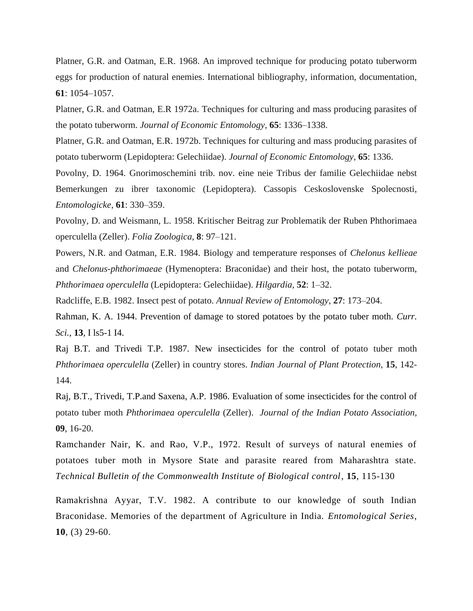Platner, G.R. and Oatman, E.R. 1968. An improved technique for producing potato tuberworm eggs for production of natural enemies. International bibliography, information, documentation, **61**: 1054–1057.

Platner, G.R. and Oatman, E.R 1972a. Techniques for culturing and mass producing parasites of the potato tuberworm. *Journal of Economic Entomology*, **65**: 1336–1338.

Platner, G.R. and Oatman, E.R. 1972b. Techniques for culturing and mass producing parasites of potato tuberworm (Lepidoptera: Gelechiidae). *Journal of Economic Entomology*, **65**: 1336.

Povolny, D. 1964. Gnorimoschemini trib. nov. eine neie Tribus der familie Gelechiidae nebst Bemerkungen zu ibrer taxonomic (Lepidoptera). Cassopis Ceskoslovenske Spolecnosti, *Entomologicke*, **61**: 330–359.

Povolny, D. and Weismann, L. 1958. Kritischer Beitrag zur Problematik der Ruben Phthorimaea operculella (Zeller). *Folia Zoologica*, **8**: 97–121.

Powers, N.R. and Oatman, E.R. 1984. Biology and temperature responses of *Chelonus kellieae* and *Chelonus-phthorimaeae* (Hymenoptera: Braconidae) and their host, the potato tuberworm, *Phthorimaea operculella* (Lepidoptera: Gelechiidae). *Hilgardia*, **52**: 1–32.

Radcliffe, E.B. 1982. Insect pest of potato. *Annual Review of Entomology*, **27**: 173–204.

Rahman, K. A. 1944. Prevention of damage to stored potatoes by the potato tuber moth. *Curr. Sci.*, **13**, I ls5-1 I4.

Raj B.T. and Trivedi T.P. 1987. New insecticides for the control of potato tuber moth *Phthorimaea operculella* (Zeller) in country stores. *Indian Journal of Plant Protection*, **15**, 142- 144.

Raj, B.T., Trivedi, T.P.and Saxena, A.P. 1986. Evaluation of some insecticides for the control of potato tuber moth *Phthorimaea operculella* (Zeller). *Journal of the Indian Potato Association*, **09**, 16-20.

Ramchander Nair, K. and Rao, V.P., 1972. Result of surveys of natural enemies of potatoes tuber moth in Mysore State and parasite reared from Maharashtra state. *Technical Bulletin of the Commonwealth Institute of Biological control*, **15**, 115-130

Ramakrishna Ayyar, T.V. 1982. A contribute to our knowledge of south Indian Braconidase. Memories of the department of Agriculture in India. *Entomological Series*, **10**, (3) 29-60.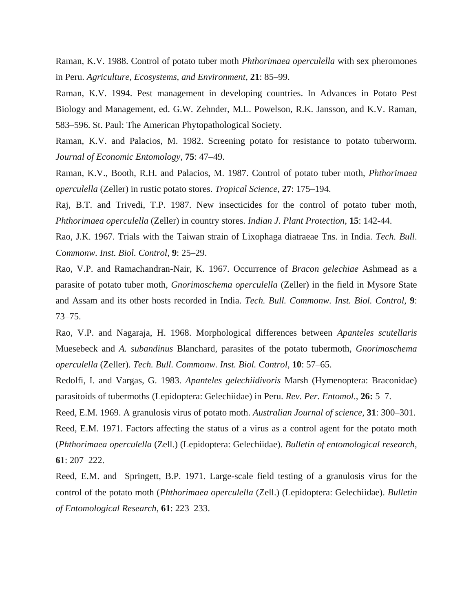Raman, K.V. 1988. Control of potato tuber moth *Phthorimaea operculella* with sex pheromones in Peru. *Agriculture, Ecosystems, and Environment*, **21**: 85–99.

Raman, K.V. 1994. Pest management in developing countries. In Advances in Potato Pest Biology and Management, ed. G.W. Zehnder, M.L. Powelson, R.K. Jansson, and K.V. Raman, 583–596. St. Paul: The American Phytopathological Society.

Raman, K.V. and Palacios, M. 1982. Screening potato for resistance to potato tuberworm. *Journal of Economic Entomology*, **75**: 47–49.

Raman, K.V., Booth, R.H. and Palacios, M. 1987. Control of potato tuber moth, *Phthorimaea operculella* (Zeller) in rustic potato stores. *Tropical Science*, **27**: 175–194.

Raj, B.T. and Trivedi, T.P. 1987. New insecticides for the control of potato tuber moth, *Phthorimaea operculella* (Zeller) in country stores. *Indian J. Plant Protection*, **15**: 142-44.

Rao, J.K. 1967. Trials with the Taiwan strain of Lixophaga diatraeae Tns. in India. *Tech. Bull*. *Commonw. Inst. Biol. Control,* **9**: 25–29.

Rao, V.P. and Ramachandran-Nair, K. 1967. Occurrence of *Bracon gelechiae* Ashmead as a parasite of potato tuber moth, *Gnorimoschema operculella* (Zeller) in the field in Mysore State and Assam and its other hosts recorded in India. *Tech. Bull. Commonw. Inst. Biol. Control,* **9**: 73–75.

Rao, V.P. and Nagaraja, H. 1968. Morphological differences between *Apanteles scutellaris* Muesebeck and *A. subandinus* Blanchard, parasites of the potato tubermoth, *Gnorimoschema operculella* (Zeller). *Tech. Bull. Commonw. Inst. Biol. Control*, **10**: 57–65.

Redolfi, I. and Vargas, G. 1983. *Apanteles gelechiidivoris* Marsh (Hymenoptera: Braconidae) parasitoids of tubermoths (Lepidoptera: Gelechiidae) in Peru. *Rev. Per. Entomol*., **26:** 5–7.

Reed, E.M. 1969. A granulosis virus of potato moth. *Australian Journal of science*, **31**: 300–301.

Reed, E.M. 1971. Factors affecting the status of a virus as a control agent for the potato moth (*Phthorimaea operculella* (Zell.) (Lepidoptera: Gelechiidae). *Bulletin of entomological research*, **61**: 207–222.

Reed, E.M. and Springett, B.P. 1971. Large-scale field testing of a granulosis virus for the control of the potato moth (*Phthorimaea operculella* (Zell.) (Lepidoptera: Gelechiidae). *Bulletin of Entomological Research*, **61**: 223–233.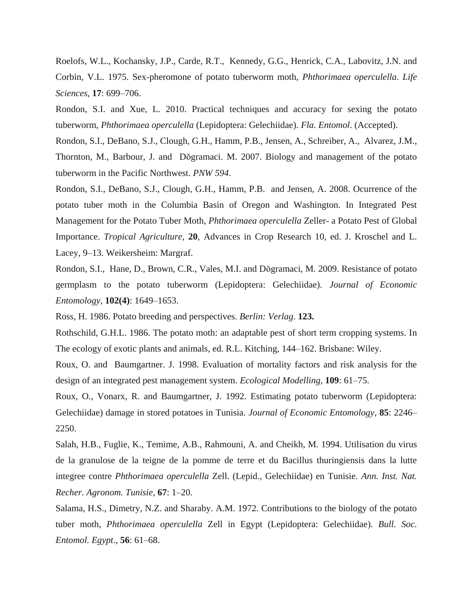Roelofs, W.L., Kochansky, J.P., Carde, R.T., Kennedy, G.G., Henrick, C.A., Labovitz, J.N. and Corbin, V.L. 1975. Sex-pheromone of potato tuberworm moth, *Phthorimaea operculella*. *Life Sciences*, **17**: 699–706.

Rondon, S.I. and Xue, L. 2010. Practical techniques and accuracy for sexing the potato tuberworm, *Phthorimaea operculella* (Lepidoptera: Gelechiidae). *Fla. Entomol*. (Accepted).

Rondon, S.I., DeBano, S.J., Clough, G.H., Hamm, P.B., Jensen, A., Schreiber, A., Alvarez, J.M., Thornton, M., Barbour, J. and Dŏgramaci. M. 2007. Biology and management of the potato tuberworm in the Pacific Northwest. *PNW 594*.

Rondon, S.I., DeBano, S.J., Clough, G.H., Hamm, P.B. and Jensen, A. 2008. Ocurrence of the potato tuber moth in the Columbia Basin of Oregon and Washington. In Integrated Pest Management for the Potato Tuber Moth, *Phthorimaea operculella* Zeller- a Potato Pest of Global Importance. *Tropical Agriculture*, **20**, Advances in Crop Research 10, ed. J. Kroschel and L. Lacey, 9–13. Weikersheim: Margraf.

Rondon, S.I., Hane, D., Brown, C.R., Vales, M.I. and Dŏgramaci, M. 2009. Resistance of potato germplasm to the potato tuberworm (Lepidoptera: Gelechiidae). *Journal of Economic Entomology*, **102(4)**: 1649–1653.

Ross, H. 1986. Potato breeding and perspectives. *Berlin: Verlag*. **123.**

Rothschild, G.H.L. 1986. The potato moth: an adaptable pest of short term cropping systems. In The ecology of exotic plants and animals, ed. R.L. Kitching, 144–162. Brisbane: Wiley.

Roux, O. and Baumgartner. J. 1998. Evaluation of mortality factors and risk analysis for the design of an integrated pest management system. *Ecological Modelling*, **109**: 61–75.

Roux, O., Vonarx, R. and Baumgartner, J. 1992. Estimating potato tuberworm (Lepidoptera: Gelechiidae) damage in stored potatoes in Tunisia. *Journal of Economic Entomology*, **85**: 2246– 2250.

Salah, H.B., Fuglie, K., Temime, A.B., Rahmouni, A. and Cheikh, M. 1994. Utilisation du virus de la granulose de la teigne de la pomme de terre et du Bacillus thuringiensis dans la lutte integree contre *Phthorimaea operculella* Zell. (Lepid., Gelechiidae) en Tunisie. *Ann. Inst. Nat. Recher. Agronom. Tunisie*, **67**: 1–20.

Salama, H.S., Dimetry, N.Z. and Sharaby. A.M. 1972. Contributions to the biology of the potato tuber moth, *Phthorimaea operculella* Zell in Egypt (Lepidoptera: Gelechiidae). *Bull. Soc. Entomol. Egypt*., **56**: 61–68.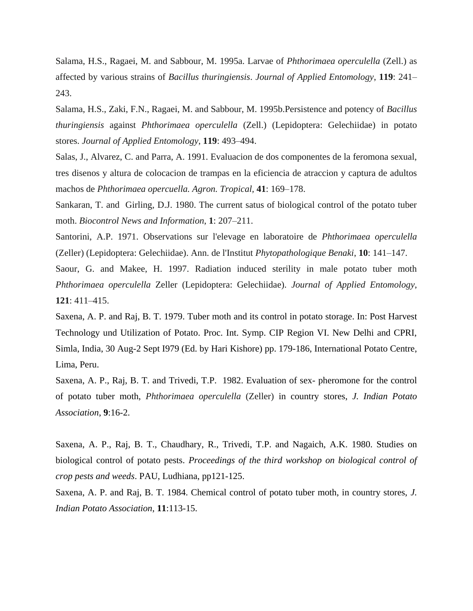Salama, H.S., Ragaei, M. and Sabbour, M. 1995a. Larvae of *Phthorimaea operculella* (Zell.) as affected by various strains of *Bacillus thuringiensis*. *Journal of Applied Entomology*, **119**: 241– 243.

Salama, H.S., Zaki, F.N., Ragaei, M. and Sabbour, M. 1995b.Persistence and potency of *Bacillus thuringiensis* against *Phthorimaea operculella* (Zell.) (Lepidoptera: Gelechiidae) in potato stores. *Journal of Applied Entomology*, **119**: 493–494.

Salas, J., Alvarez, C. and Parra, A. 1991. Evaluacion de dos componentes de la feromona sexual, tres disenos y altura de colocacion de trampas en la eficiencia de atraccion y captura de adultos machos de *Phthorimaea opercuella. Agron. Tropical,* **41**: 169–178.

Sankaran, T. and Girling, D.J. 1980. The current satus of biological control of the potato tuber moth. *Biocontrol News and Information*, **1**: 207–211.

Santorini, A.P. 1971. Observations sur l'elevage en laboratoire de *Phthorimaea operculella* (Zeller) (Lepidoptera: Gelechiidae). Ann. de l'Institut *Phytopathologique Benaki*, **10**: 141–147.

Saour, G. and Makee, H. 1997. Radiation induced sterility in male potato tuber moth *Phthorimaea operculella* Zeller (Lepidoptera: Gelechiidae). *Journal of Applied Entomology*, **121**: 411–415.

Saxena, A. P. and Raj, B. T. 1979. Tuber moth and its control in potato storage. In: Post Harvest Technology und Utilization of Potato. Proc. Int. Symp. CIP Region VI. New Delhi and CPRI, Simla, India, 30 Aug-2 Sept I979 (Ed. by Hari Kishore) pp. 179-186, International Potato Centre, Lima, Peru.

Saxena, A. P., Raj, B. T. and Trivedi, T.P. 1982. Evaluation of sex- pheromone for the control of potato tuber moth, *Phthorimaea operculella* (Zeller) in country stores, *J. Indian Potato Association*, **9**:16-2.

Saxena, A. P., Raj, B. T., Chaudhary, R., Trivedi, T.P. and Nagaich, A.K. 1980. Studies on biological control of potato pests. *Proceedings of the third workshop on biological control of crop pests and weeds*. PAU, Ludhiana, pp121-125.

Saxena, A. P. and Raj, B. T. 1984. Chemical control of potato tuber moth, in country stores, *J. Indian Potato Association*, **11**:113-15.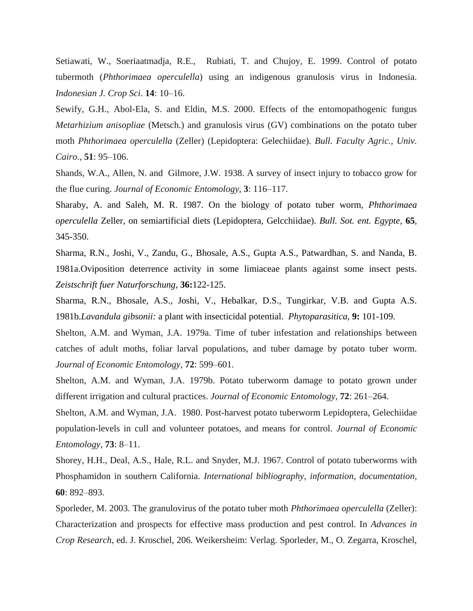Setiawati, W., Soeriaatmadja, R.E., Rubiati, T. and Chujoy, E. 1999. Control of potato tubermoth (*Phthorimaea operculella*) using an indigenous granulosis virus in Indonesia. *Indonesian J. Crop Sci*. **14**: 10–16.

Sewify, G.H., Abol-Ela, S. and Eldin, M.S. 2000. Effects of the entomopathogenic fungus *Metarhizium anisopliae* (Metsch.) and granulosis virus (GV) combinations on the potato tuber moth *Phthorimaea operculella* (Zeller) (Lepidoptera: Gelechiidae). *Bull. Faculty Agric., Univ. Cairo*., **51**: 95–106.

Shands, W.A., Allen, N. and Gilmore, J.W. 1938. A survey of insect injury to tobacco grow for the flue curing. *Journal of Economic Entomology*, **3**: 116–117.

Sharaby, A. and Saleh, M. R. 1987. On the biology of potato tuber worm, *Phthorimaea operculella* Zeller, on semiartificial diets (Lepidoptera, Gelcchiidae). *Bull. Sot. ent. Egypte*, **65**, 345-350.

Sharma, R.N., Joshi, V., Zandu, G., Bhosale, A.S., Gupta A.S., Patwardhan, S. and Nanda, B. 1981a.Oviposition deterrence activity in some limiaceae plants against some insect pests. *Zeistschrift fuer Naturforschung*, **36:**122-125.

Sharma, R.N., Bhosale, A.S., Joshi, V., Hebalkar, D.S., Tungirkar, V.B. and Gupta A.S. 1981b.*Lavandula gibsonii:* a plant with insecticidal potential. *Phytoparasitica*, **9:** 101-109.

Shelton, A.M. and Wyman, J.A. 1979a. Time of tuber infestation and relationships between catches of adult moths, foliar larval populations, and tuber damage by potato tuber worm. *Journal of Economic Entomology*, **72**: 599–601.

Shelton, A.M. and Wyman, J.A. 1979b. Potato tuberworm damage to potato grown under different irrigation and cultural practices. *Journal of Economic Entomology*, **72**: 261–264.

Shelton, A.M. and Wyman, J.A. 1980. Post-harvest potato tuberworm Lepidoptera, Gelechiidae population-levels in cull and volunteer potatoes, and means for control. *Journal of Economic Entomology*, **73**: 8–11.

Shorey, H.H., Deal, A.S., Hale, R.L. and Snyder, M.J. 1967. Control of potato tuberworms with Phosphamidon in southern California. *International bibliography, information, documentation*, **60**: 892–893.

Sporleder, M. 2003. The granulovirus of the potato tuber moth *Phthorimaea operculella* (Zeller): Characterization and prospects for effective mass production and pest control. In *Advances in Crop Research*, ed. J. Kroschel, 206. Weikersheim: Verlag. Sporleder, M., O. Zegarra, Kroschel,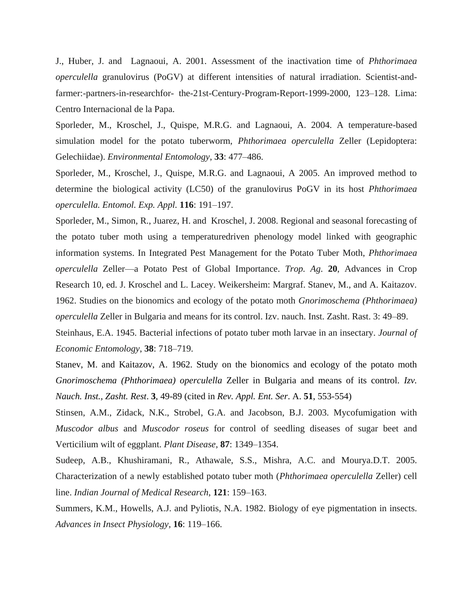J., Huber, J. and Lagnaoui, A. 2001. Assessment of the inactivation time of *Phthorimaea operculella* granulovirus (PoGV) at different intensities of natural irradiation. Scientist-andfarmer:-partners-in-researchfor- the-21st-Century-Program-Report-1999-2000, 123-128. Lima: Centro Internacional de la Papa.

Sporleder, M., Kroschel, J., Quispe, M.R.G. and Lagnaoui, A. 2004. A temperature-based simulation model for the potato tuberworm, *Phthorimaea operculella* Zeller (Lepidoptera: Gelechiidae). *Environmental Entomology*, **33**: 477–486.

Sporleder, M., Kroschel, J., Quispe, M.R.G. and Lagnaoui, A 2005. An improved method to determine the biological activity (LC50) of the granulovirus PoGV in its host *Phthorimaea operculella. Entomol. Exp. Appl.* **116**: 191–197.

Sporleder, M., Simon, R., Juarez, H. and Kroschel, J. 2008. Regional and seasonal forecasting of the potato tuber moth using a temperaturedriven phenology model linked with geographic information systems. In Integrated Pest Management for the Potato Tuber Moth, *Phthorimaea operculella* Zeller—a Potato Pest of Global Importance. *Trop. Ag*. **20**, Advances in Crop Research 10, ed. J. Kroschel and L. Lacey. Weikersheim: Margraf. Stanev, M., and A. Kaitazov. 1962. Studies on the bionomics and ecology of the potato moth *Gnorimoschema (Phthorimaea) operculella* Zeller in Bulgaria and means for its control. Izv. nauch. Inst. Zasht. Rast. 3: 49–89.

Steinhaus, E.A. 1945. Bacterial infections of potato tuber moth larvae in an insectary. *Journal of Economic Entomology*, **38**: 718–719.

Stanev, M. and Kaitazov, A. 1962. Study on the bionomics and ecology of the potato moth *Gnorimoschema (Phthorimaea) operculella* Zeller in Bulgaria and means of its control. *Izv. Nauch. Inst., Zasht. Rest*. **3**, 49-89 (cited in *Rev. Appl. Ent. Ser*. A. **51**, 553-554)

Stinsen, A.M., Zidack, N.K., Strobel, G.A. and Jacobson, B.J. 2003. Mycofumigation with *Muscodor albus* and *Muscodor roseus* for control of seedling diseases of sugar beet and Verticilium wilt of eggplant. *Plant Disease*, **87**: 1349–1354.

Sudeep, A.B., Khushiramani, R., Athawale, S.S., Mishra, A.C. and Mourya.D.T. 2005. Characterization of a newly established potato tuber moth (*Phthorimaea operculella* Zeller) cell line. *Indian Journal of Medical Research*, **121**: 159–163.

Summers, K.M., Howells, A.J. and Pyliotis, N.A. 1982. Biology of eye pigmentation in insects. *Advances in Insect Physiology*, **16**: 119–166.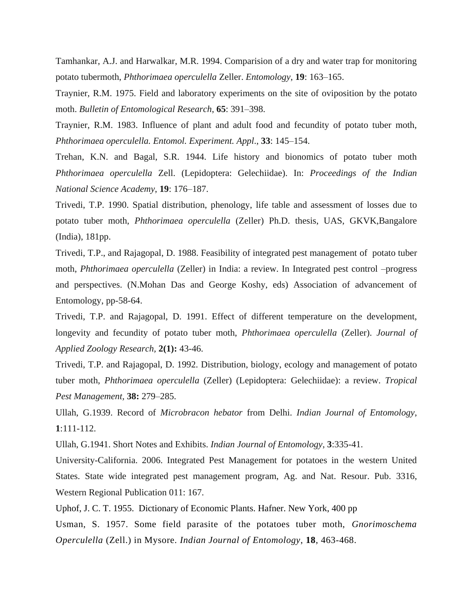Tamhankar, A.J. and Harwalkar, M.R. 1994. Comparision of a dry and water trap for monitoring potato tubermoth, *Phthorimaea operculella* Zeller. *Entomology*, **19**: 163–165.

Traynier, R.M. 1975. Field and laboratory experiments on the site of oviposition by the potato moth. *Bulletin of Entomological Research*, **65**: 391–398.

Traynier, R.M. 1983. Influence of plant and adult food and fecundity of potato tuber moth, *Phthorimaea operculella. Entomol. Experiment. Appl*., **33**: 145–154.

Trehan, K.N. and Bagal, S.R. 1944. Life history and bionomics of potato tuber moth *Phthorimaea operculella* Zell. (Lepidoptera: Gelechiidae). In: *Proceedings of the Indian National Science Academy*, **19**: 176–187.

Trivedi, T.P. 1990. Spatial distribution, phenology, life table and assessment of losses due to potato tuber moth, *Phthorimaea operculella* (Zeller) Ph.D. thesis, UAS, GKVK,Bangalore (India), 181pp.

Trivedi, T.P., and Rajagopal, D. 1988. Feasibility of integrated pest management of potato tuber moth, *Phthorimaea operculella* (Zeller) in India: a review. In Integrated pest control –progress and perspectives. (N.Mohan Das and George Koshy, eds) Association of advancement of Entomology, pp-58-64.

Trivedi, T.P. and Rajagopal, D. 1991. Effect of different temperature on the development, longevity and fecundity of potato tuber moth, *Phthorimaea operculella* (Zeller). *Journal of Applied Zoology Research,* **2(1):** 43-46.

Trivedi, T.P. and Rajagopal, D. 1992. Distribution, biology, ecology and management of potato tuber moth, *Phthorimaea operculella* (Zeller) (Lepidoptera: Gelechiidae): a review. *Tropical Pest Management,* **38:** 279–285.

Ullah, G.1939. Record of *Microbracon hebator* from Delhi. *Indian Journal of Entomology*, **1**:111-112.

Ullah, G.1941. Short Notes and Exhibits. *Indian Journal of Entomology*, **3**:335-41.

University-California. 2006. Integrated Pest Management for potatoes in the western United States. State wide integrated pest management program, Ag. and Nat. Resour. Pub. 3316, Western Regional Publication 011: 167.

Uphof, J. C. T. 1955. Dictionary of Economic Plants. Hafner. New York, 400 pp

Usman, S. 1957. Some field parasite of the potatoes tuber moth, *Gnorimoschema Operculella* (Zell.) in Mysore. *Indian Journal of Entomology*, **18**, 463-468.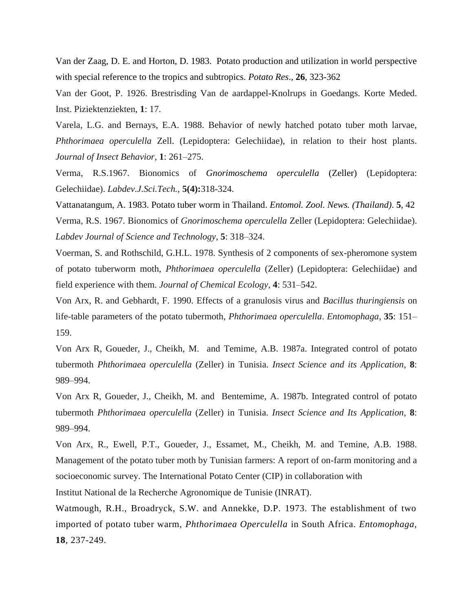Van der Zaag, D. E. and Horton, D. 1983. Potato production and utilization in world perspective with special reference to the tropics and subtropics. *Potato Res*., **26**, 323-362

Van der Goot, P. 1926. Brestrisding Van de aardappel-Knolrups in Goedangs. Korte Meded. Inst. Piziektenziekten, **1**: 17.

Varela, L.G. and Bernays, E.A. 1988. Behavior of newly hatched potato tuber moth larvae, *Phthorimaea operculella* Zell. (Lepidoptera: Gelechiidae), in relation to their host plants. *Journal of Insect Behavior*, **1**: 261–275.

Verma, R.S.1967. Bionomics of *Gnorimoschema operculella* (Zeller) (Lepidoptera: Gelechiidae). *Labdev.J.Sci.Tech.*, **5(4):**318-324.

Vattanatangum, A. 1983. Potato tuber worm in Thailand. *Entomol. Zool. News. (Thailand)*. **5**, 42 Verma, R.S. 1967. Bionomics of *Gnorimoschema operculella* Zeller (Lepidoptera: Gelechiidae). *Labdev Journal of Science and Technology*, **5**: 318–324.

Voerman, S. and Rothschild, G.H.L. 1978. Synthesis of 2 components of sex-pheromone system of potato tuberworm moth, *Phthorimaea operculella* (Zeller) (Lepidoptera: Gelechiidae) and field experience with them. *Journal of Chemical Ecology*, **4**: 531–542.

Von Arx, R. and Gebhardt, F. 1990. Effects of a granulosis virus and *Bacillus thuringiensis* on life-table parameters of the potato tubermoth, *Phthorimaea operculella*. *Entomophaga,* **35**: 151– 159.

Von Arx R, Goueder, J., Cheikh, M. and Temime, A.B. 1987a. Integrated control of potato tubermoth *Phthorimaea operculella* (Zeller) in Tunisia. *Insect Science and its Application*, **8**: 989–994.

Von Arx R, Goueder, J., Cheikh, M. and Bentemime, A. 1987b. Integrated control of potato tubermoth *Phthorimaea operculella* (Zeller) in Tunisia. *Insect Science and Its Application*, **8**: 989–994.

Von Arx, R., Ewell, P.T., Goueder, J., Essamet, M., Cheikh, M. and Temine, A.B. 1988. Management of the potato tuber moth by Tunisian farmers: A report of on-farm monitoring and a socioeconomic survey. The International Potato Center (CIP) in collaboration with

Institut National de la Recherche Agronomique de Tunisie (INRAT).

Watmough, R.H., Broadryck, S.W. and Annekke, D.P. 1973. The establishment of two imported of potato tuber warm, *Phthorimaea Operculella* in South Africa. *Entomophaga*, **18**, 237-249.